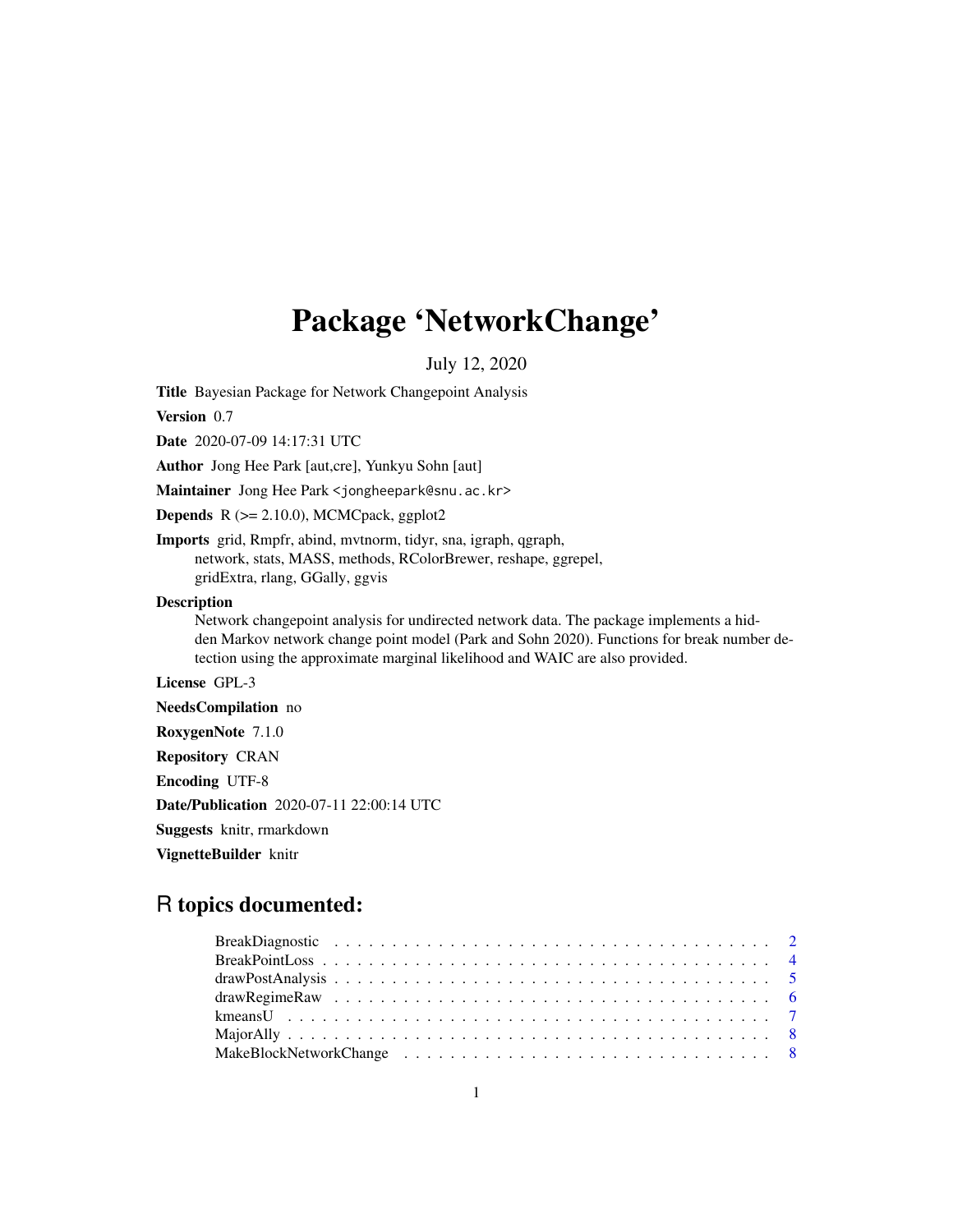# Package 'NetworkChange'

July 12, 2020

Title Bayesian Package for Network Changepoint Analysis

Version 0.7

Date 2020-07-09 14:17:31 UTC

Author Jong Hee Park [aut,cre], Yunkyu Sohn [aut]

Maintainer Jong Hee Park <jongheepark@snu.ac.kr>

**Depends**  $R$  ( $>= 2.10.0$ ), MCMCpack, ggplot2

Imports grid, Rmpfr, abind, mvtnorm, tidyr, sna, igraph, qgraph, network, stats, MASS, methods, RColorBrewer, reshape, ggrepel, gridExtra, rlang, GGally, ggvis

#### Description

Network changepoint analysis for undirected network data. The package implements a hidden Markov network change point model (Park and Sohn 2020). Functions for break number detection using the approximate marginal likelihood and WAIC are also provided.

License GPL-3

NeedsCompilation no

RoxygenNote 7.1.0

Repository CRAN

Encoding UTF-8

Date/Publication 2020-07-11 22:00:14 UTC

Suggests knitr, rmarkdown

VignetteBuilder knitr

# R topics documented: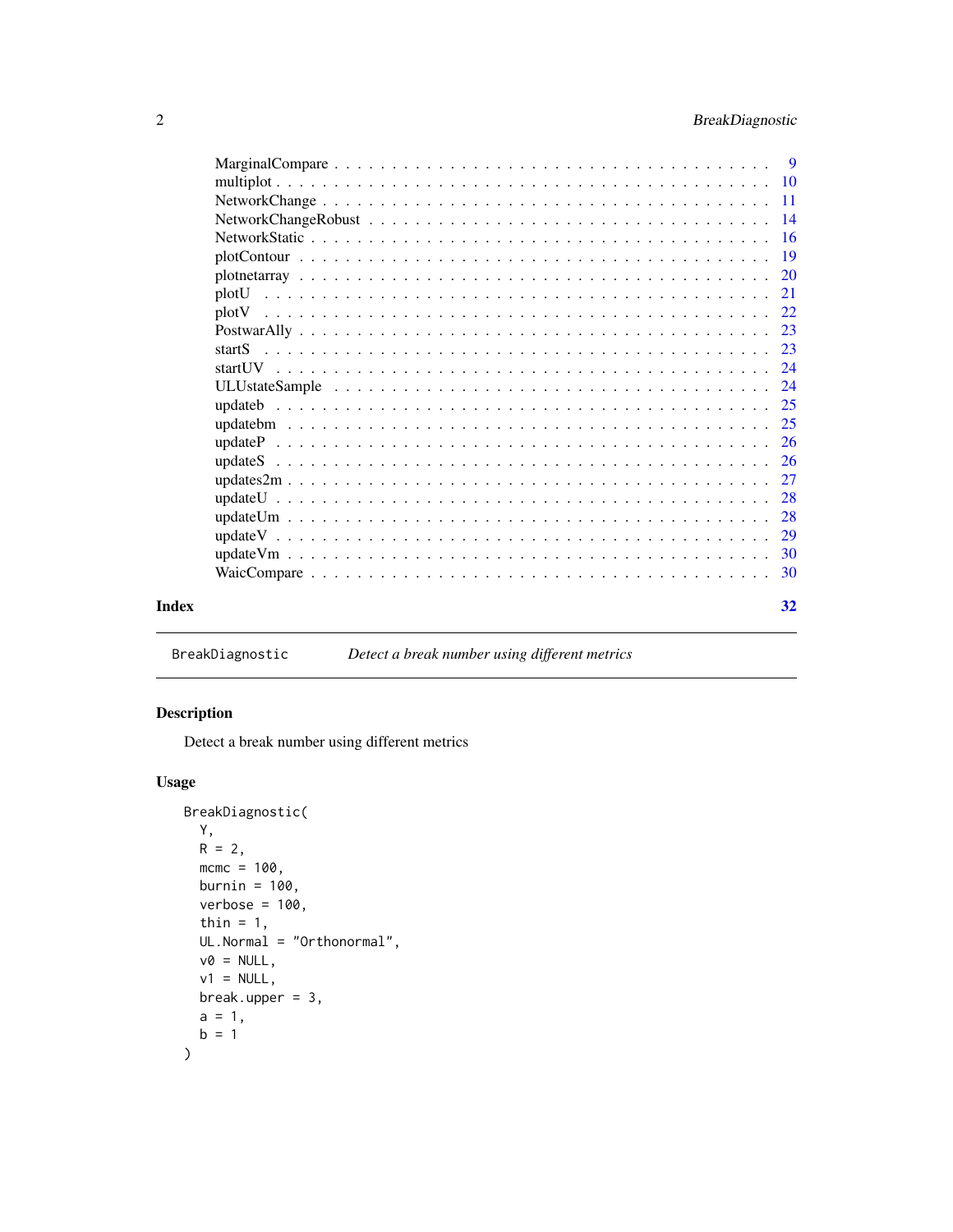<span id="page-1-0"></span>

|       | plotU |    |
|-------|-------|----|
|       | plotV |    |
|       |       |    |
|       |       |    |
|       |       |    |
|       |       |    |
|       |       |    |
|       |       |    |
|       |       |    |
|       |       |    |
|       |       |    |
|       |       |    |
|       |       |    |
|       |       |    |
|       |       |    |
|       |       |    |
| Index |       | 32 |

# BreakDiagnostic *Detect a break number using different metrics*

# Description

Detect a break number using different metrics

## Usage

```
BreakDiagnostic(
 Y,
 R = 2,mcmc = 100,
 burnin = 100,
 verbose = 100,
  thin = 1,UL.Normal = "Orthonormal",
 v0 = NULL,v1 = NULL,break.upper = 3,
 a = 1,b = 1\mathcal{L}
```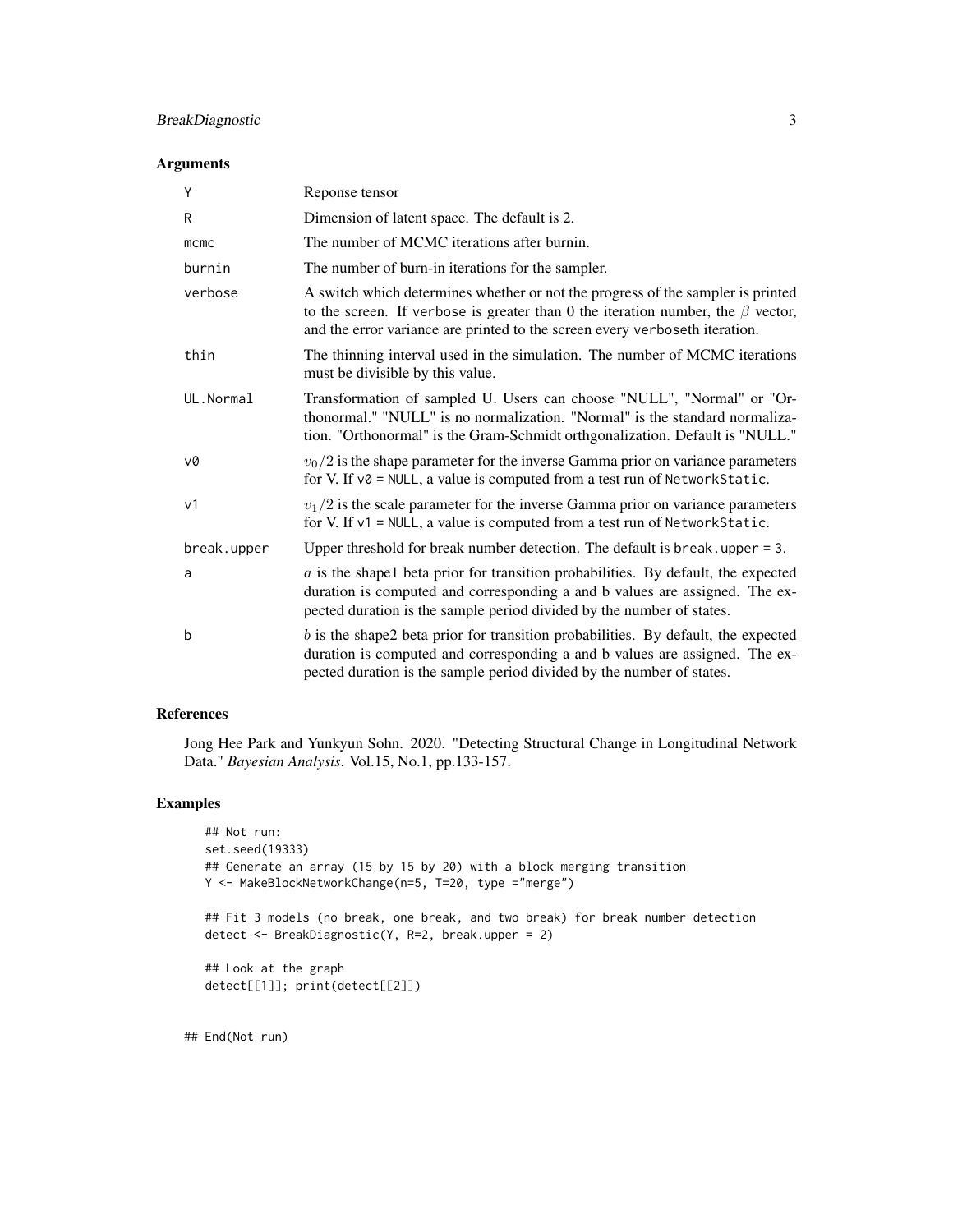## BreakDiagnostic 3

#### Arguments

| Y              | Reponse tensor                                                                                                                                                                                                                                          |
|----------------|---------------------------------------------------------------------------------------------------------------------------------------------------------------------------------------------------------------------------------------------------------|
| R              | Dimension of latent space. The default is 2.                                                                                                                                                                                                            |
| mcmc           | The number of MCMC iterations after burnin.                                                                                                                                                                                                             |
| burnin         | The number of burn-in iterations for the sampler.                                                                                                                                                                                                       |
| verbose        | A switch which determines whether or not the progress of the sampler is printed<br>to the screen. If verbose is greater than 0 the iteration number, the $\beta$ vector,<br>and the error variance are printed to the screen every verboseth iteration. |
| thin           | The thinning interval used in the simulation. The number of MCMC iterations<br>must be divisible by this value.                                                                                                                                         |
| UL.Normal      | Transformation of sampled U. Users can choose "NULL", "Normal" or "Or-<br>thonormal." "NULL" is no normalization. "Normal" is the standard normaliza-<br>tion. "Orthonormal" is the Gram-Schmidt orthgonalization. Default is "NULL."                   |
| v0             | $v_0/2$ is the shape parameter for the inverse Gamma prior on variance parameters<br>for V. If $v\theta$ = NULL, a value is computed from a test run of Network Static.                                                                                 |
| v <sub>1</sub> | $v_1/2$ is the scale parameter for the inverse Gamma prior on variance parameters<br>for V. If v1 = NULL, a value is computed from a test run of NetworkStatic.                                                                                         |
| break.upper    | Upper threshold for break number detection. The default is break, upper $= 3$ .                                                                                                                                                                         |
| a              | $a$ is the shapel beta prior for transition probabilities. By default, the expected<br>duration is computed and corresponding a and b values are assigned. The ex-<br>pected duration is the sample period divided by the number of states.             |
| b              | $b$ is the shape2 beta prior for transition probabilities. By default, the expected<br>duration is computed and corresponding a and b values are assigned. The ex-<br>pected duration is the sample period divided by the number of states.             |

#### References

Jong Hee Park and Yunkyun Sohn. 2020. "Detecting Structural Change in Longitudinal Network Data." *Bayesian Analysis*. Vol.15, No.1, pp.133-157.

#### Examples

```
## Not run:
set.seed(19333)
## Generate an array (15 by 15 by 20) with a block merging transition
Y <- MakeBlockNetworkChange(n=5, T=20, type ="merge")
## Fit 3 models (no break, one break, and two break) for break number detection
detect <- BreakDiagnostic(Y, R=2, break.upper = 2)
## Look at the graph
detect[[1]]; print(detect[[2]])
```
## End(Not run)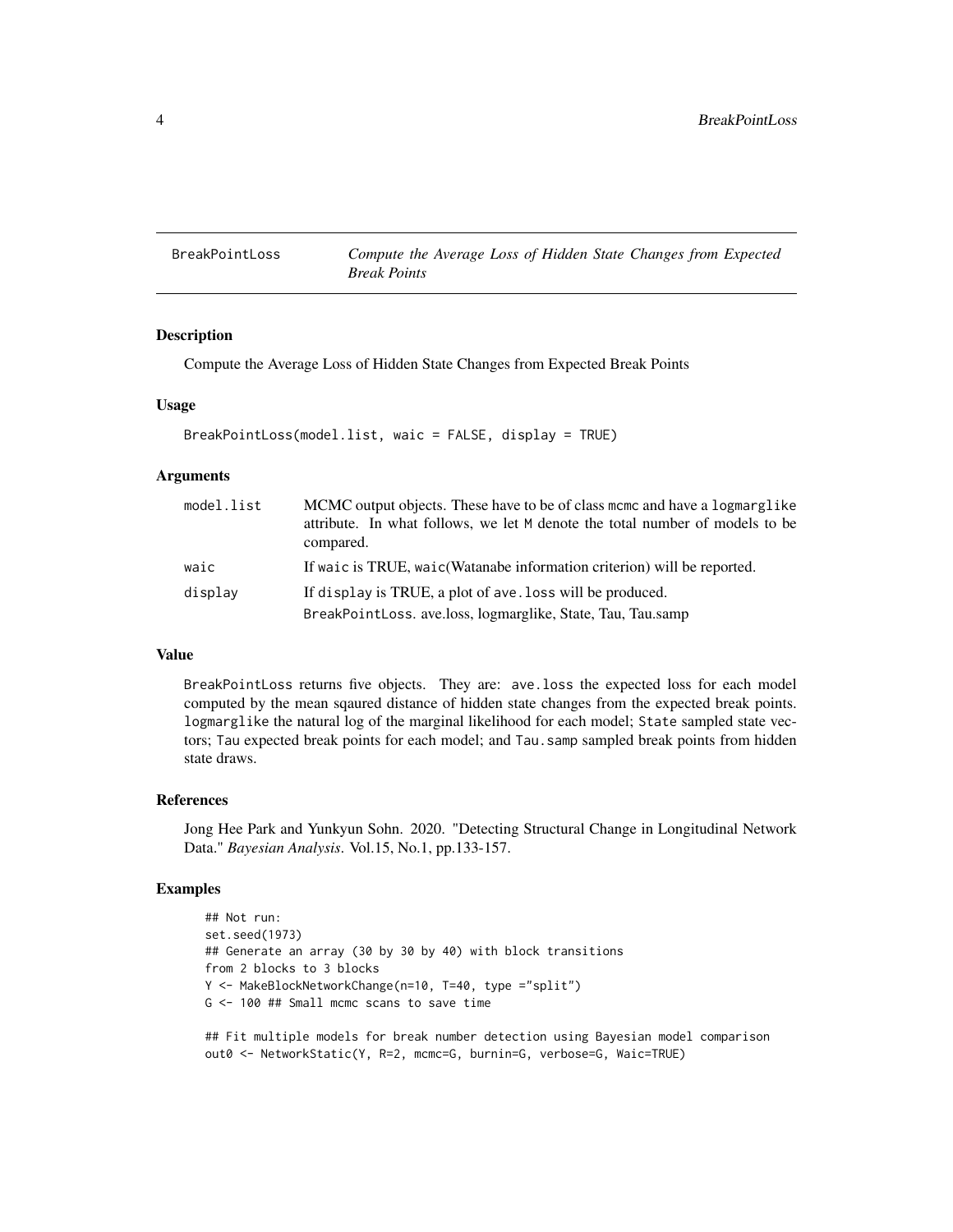<span id="page-3-0"></span>BreakPointLoss *Compute the Average Loss of Hidden State Changes from Expected Break Points*

## Description

Compute the Average Loss of Hidden State Changes from Expected Break Points

#### Usage

```
BreakPointLoss(model.list, waic = FALSE, display = TRUE)
```
#### Arguments

| model.list | MCMC output objects. These have to be of class mome and have a logmarglike<br>attribute. In what follows, we let M denote the total number of models to be<br>compared. |
|------------|-------------------------------------------------------------------------------------------------------------------------------------------------------------------------|
| waic       | If waic is TRUE, waic (Watanabe information criterion) will be reported.                                                                                                |
| display    | If display is TRUE, a plot of ave. loss will be produced.                                                                                                               |
|            | BreakPointLoss. ave.loss, logmarglike, State, Tau, Tau.samp                                                                                                             |

#### Value

BreakPointLoss returns five objects. They are: ave.loss the expected loss for each model computed by the mean sqaured distance of hidden state changes from the expected break points. logmarglike the natural log of the marginal likelihood for each model; State sampled state vectors; Tau expected break points for each model; and Tau.samp sampled break points from hidden state draws.

#### References

Jong Hee Park and Yunkyun Sohn. 2020. "Detecting Structural Change in Longitudinal Network Data." *Bayesian Analysis*. Vol.15, No.1, pp.133-157.

#### Examples

```
## Not run:
set.seed(1973)
## Generate an array (30 by 30 by 40) with block transitions
from 2 blocks to 3 blocks
Y <- MakeBlockNetworkChange(n=10, T=40, type ="split")
G <- 100 ## Small mcmc scans to save time
```
## Fit multiple models for break number detection using Bayesian model comparison out0 <- NetworkStatic(Y, R=2, mcmc=G, burnin=G, verbose=G, Waic=TRUE)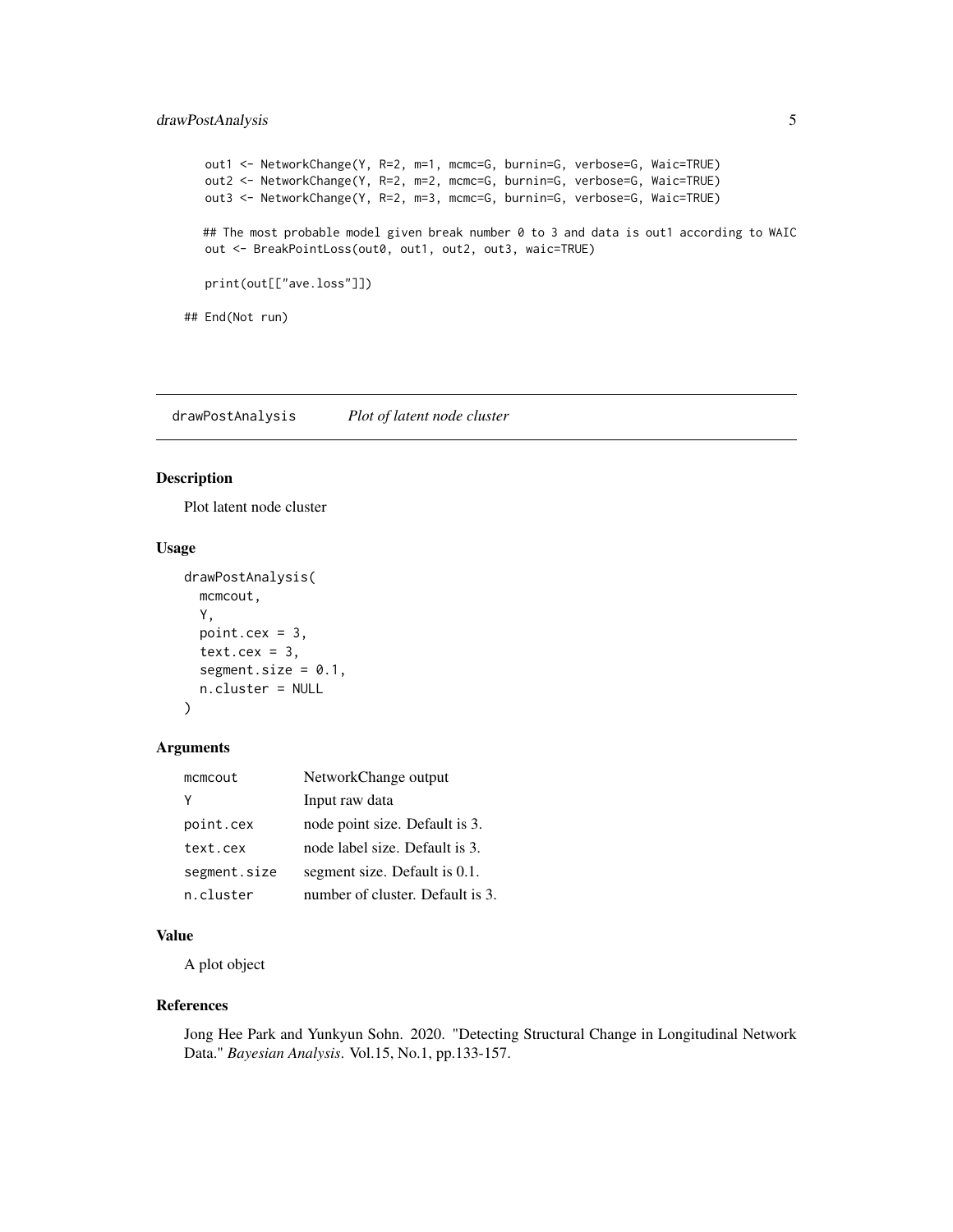## <span id="page-4-0"></span>drawPostAnalysis 5

```
out1 <- NetworkChange(Y, R=2, m=1, mcmc=G, burnin=G, verbose=G, Waic=TRUE)
  out2 <- NetworkChange(Y, R=2, m=2, mcmc=G, burnin=G, verbose=G, Waic=TRUE)
  out3 <- NetworkChange(Y, R=2, m=3, mcmc=G, burnin=G, verbose=G, Waic=TRUE)
  ## The most probable model given break number 0 to 3 and data is out1 according to WAIC
  out <- BreakPointLoss(out0, out1, out2, out3, waic=TRUE)
  print(out[["ave.loss"]])
## End(Not run)
```
drawPostAnalysis *Plot of latent node cluster*

#### Description

Plot latent node cluster

## Usage

```
drawPostAnalysis(
 mcmcout,
 Y,
 point.cex = 3,
  text. cex = 3,
  segment.size = 0.1,
 n.cluster = NULL
)
```
#### Arguments

| mcmcout      | NetworkChange output             |
|--------------|----------------------------------|
| γ            | Input raw data                   |
| point.cex    | node point size. Default is 3.   |
| text.cex     | node label size. Default is 3.   |
| segment.size | segment size. Default is 0.1.    |
| n.cluster    | number of cluster. Default is 3. |

#### Value

A plot object

#### References

Jong Hee Park and Yunkyun Sohn. 2020. "Detecting Structural Change in Longitudinal Network Data." *Bayesian Analysis*. Vol.15, No.1, pp.133-157.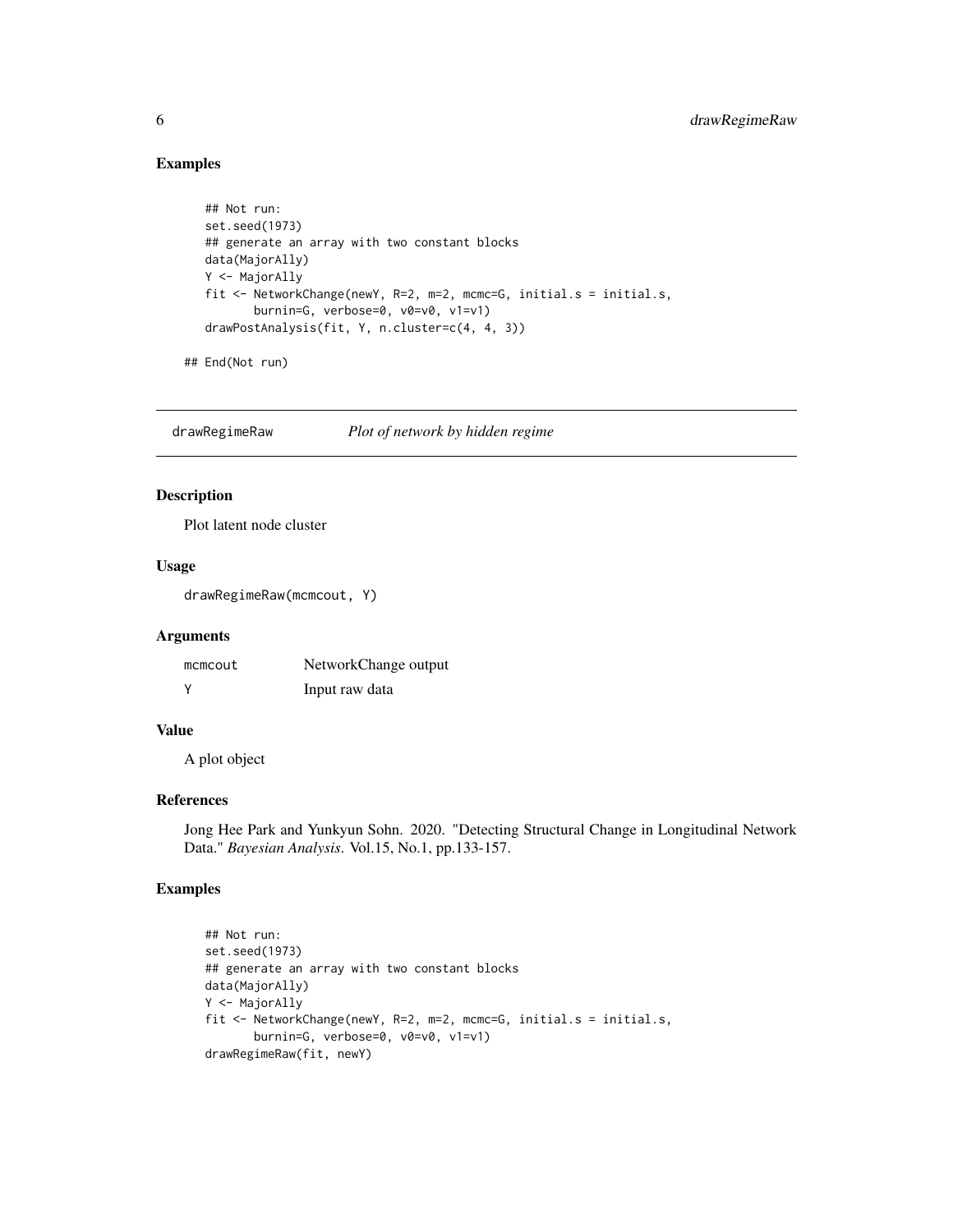## Examples

```
## Not run:
set.seed(1973)
## generate an array with two constant blocks
data(MajorAlly)
Y <- MajorAlly
fit <- NetworkChange(newY, R=2, m=2, mcmc=G, initial.s = initial.s,
       burnin=G, verbose=0, v0=v0, v1=v1)
drawPostAnalysis(fit, Y, n.cluster=c(4, 4, 3))
```
## End(Not run)

drawRegimeRaw *Plot of network by hidden regime*

## Description

Plot latent node cluster

#### Usage

drawRegimeRaw(mcmcout, Y)

#### Arguments

| mcmcout  | NetworkChange output |
|----------|----------------------|
| <b>V</b> | Input raw data       |

#### Value

A plot object

#### References

Jong Hee Park and Yunkyun Sohn. 2020. "Detecting Structural Change in Longitudinal Network Data." *Bayesian Analysis*. Vol.15, No.1, pp.133-157.

## Examples

```
## Not run:
set.seed(1973)
## generate an array with two constant blocks
data(MajorAlly)
Y <- MajorAlly
fit <- NetworkChange(newY, R=2, m=2, mcmc=G, initial.s = initial.s,
      burnin=G, verbose=0, v0=v0, v1=v1)
drawRegimeRaw(fit, newY)
```
<span id="page-5-0"></span>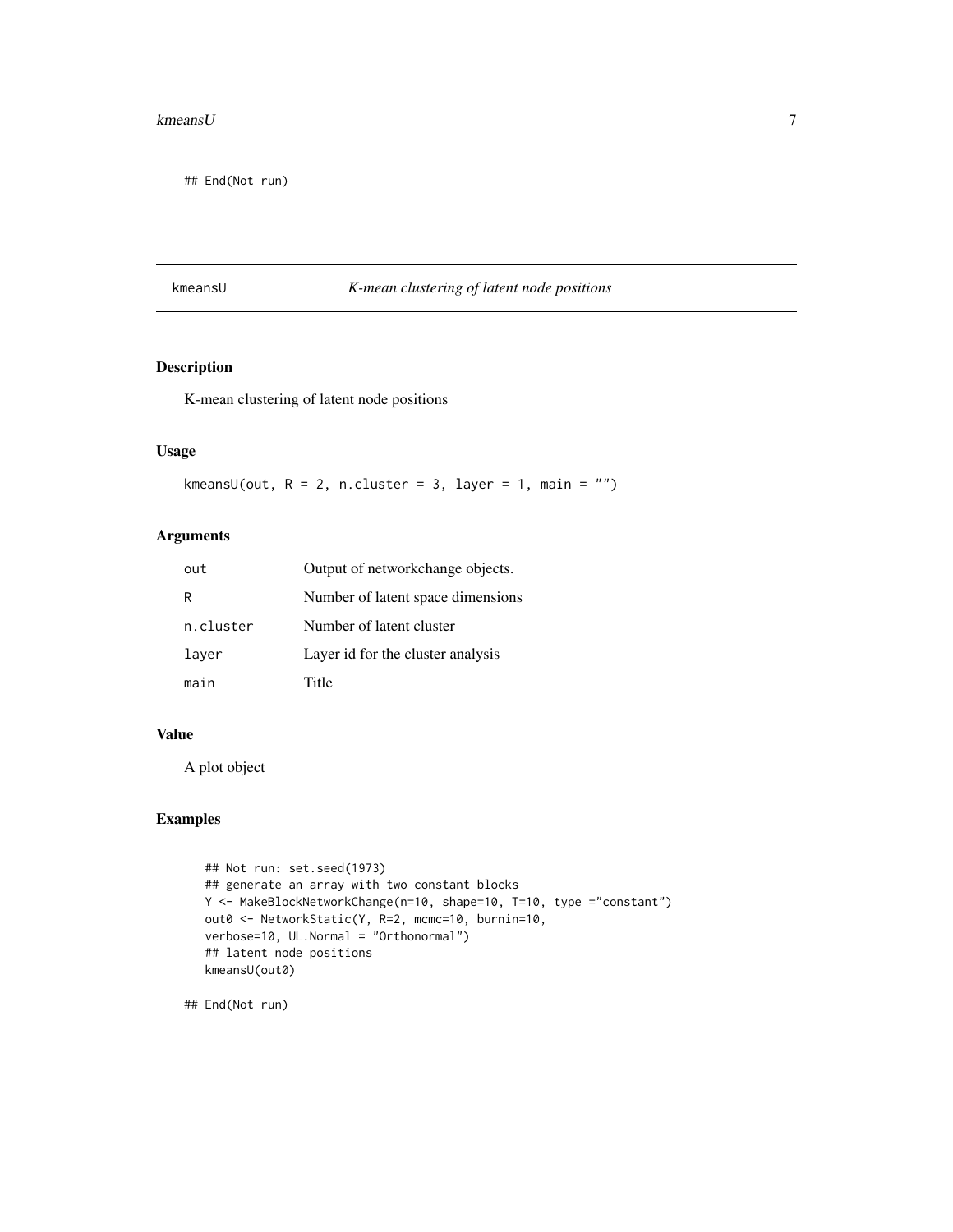#### <span id="page-6-0"></span> $k$ means $U$  7

## End(Not run)

#### kmeansU *K-mean clustering of latent node positions*

# Description

K-mean clustering of latent node positions

#### Usage

kmeansU(out,  $R = 2$ , n.cluster = 3, layer = 1, main = "")

## Arguments

| out       | Output of networkchange objects.  |
|-----------|-----------------------------------|
| R         | Number of latent space dimensions |
| n.cluster | Number of latent cluster          |
| layer     | Layer id for the cluster analysis |
| main      | Title                             |

#### Value

A plot object

## Examples

```
## Not run: set.seed(1973)
## generate an array with two constant blocks
Y <- MakeBlockNetworkChange(n=10, shape=10, T=10, type ="constant")
out0 <- NetworkStatic(Y, R=2, mcmc=10, burnin=10,
verbose=10, UL.Normal = "Orthonormal")
## latent node positions
kmeansU(out0)
```
## End(Not run)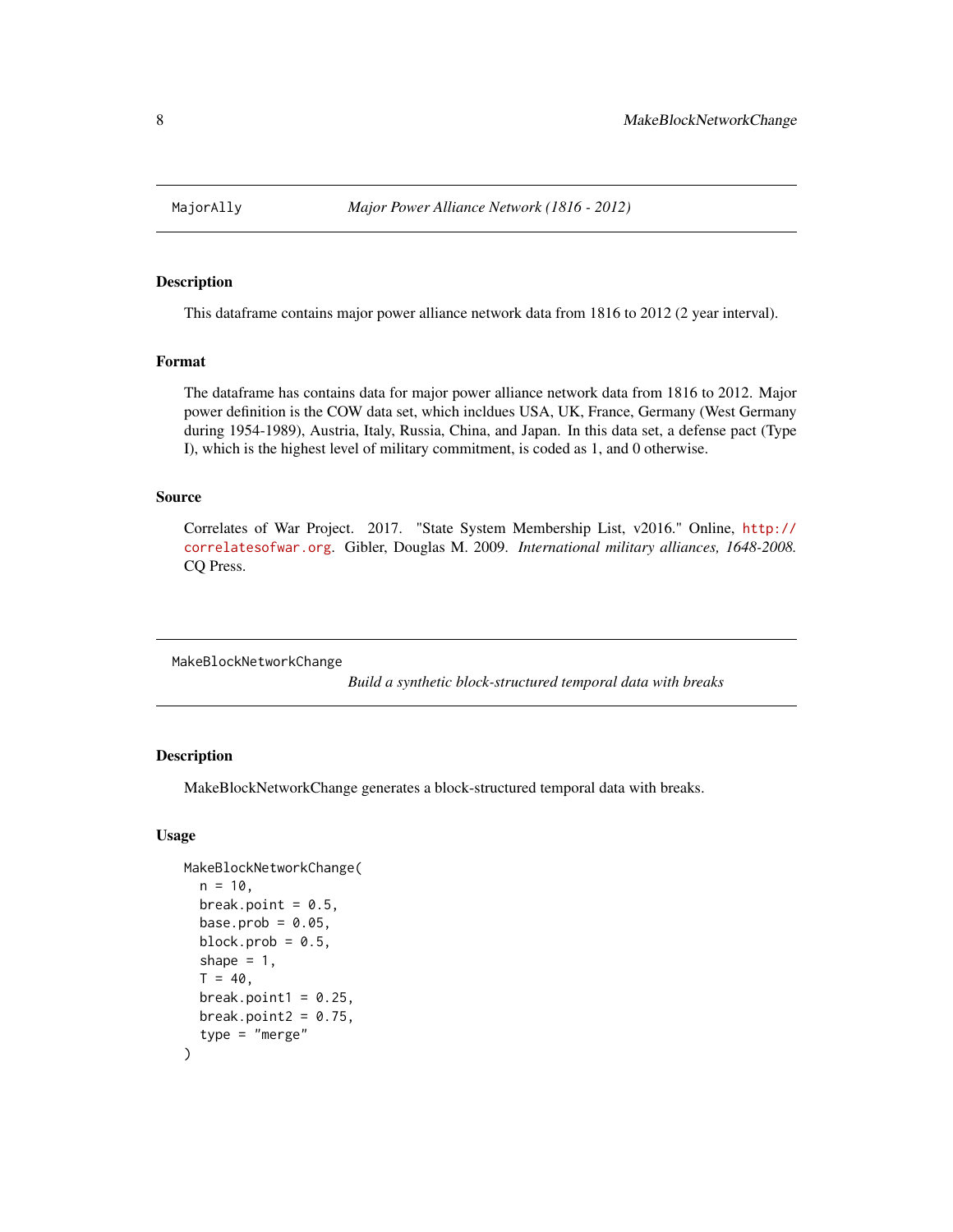<span id="page-7-0"></span>

This dataframe contains major power alliance network data from 1816 to 2012 (2 year interval).

#### Format

The dataframe has contains data for major power alliance network data from 1816 to 2012. Major power definition is the COW data set, which incldues USA, UK, France, Germany (West Germany during 1954-1989), Austria, Italy, Russia, China, and Japan. In this data set, a defense pact (Type I), which is the highest level of military commitment, is coded as 1, and 0 otherwise.

## Source

Correlates of War Project. 2017. "State System Membership List, v2016." Online, [http://](http://correlatesofwar.org) [correlatesofwar.org](http://correlatesofwar.org). Gibler, Douglas M. 2009. *International military alliances, 1648-2008.* CQ Press.

MakeBlockNetworkChange

*Build a synthetic block-structured temporal data with breaks*

#### Description

MakeBlockNetworkChange generates a block-structured temporal data with breaks.

#### Usage

```
MakeBlockNetworkChange(
  n = 10,
  break.point = 0.5,
  base.prob = 0.05,
  block.prob = 0.5,
  shape = 1,
  T = 40,
  break.point1 = 0.25,
  break.point2 = 0.75,
  type = "merge"
)
```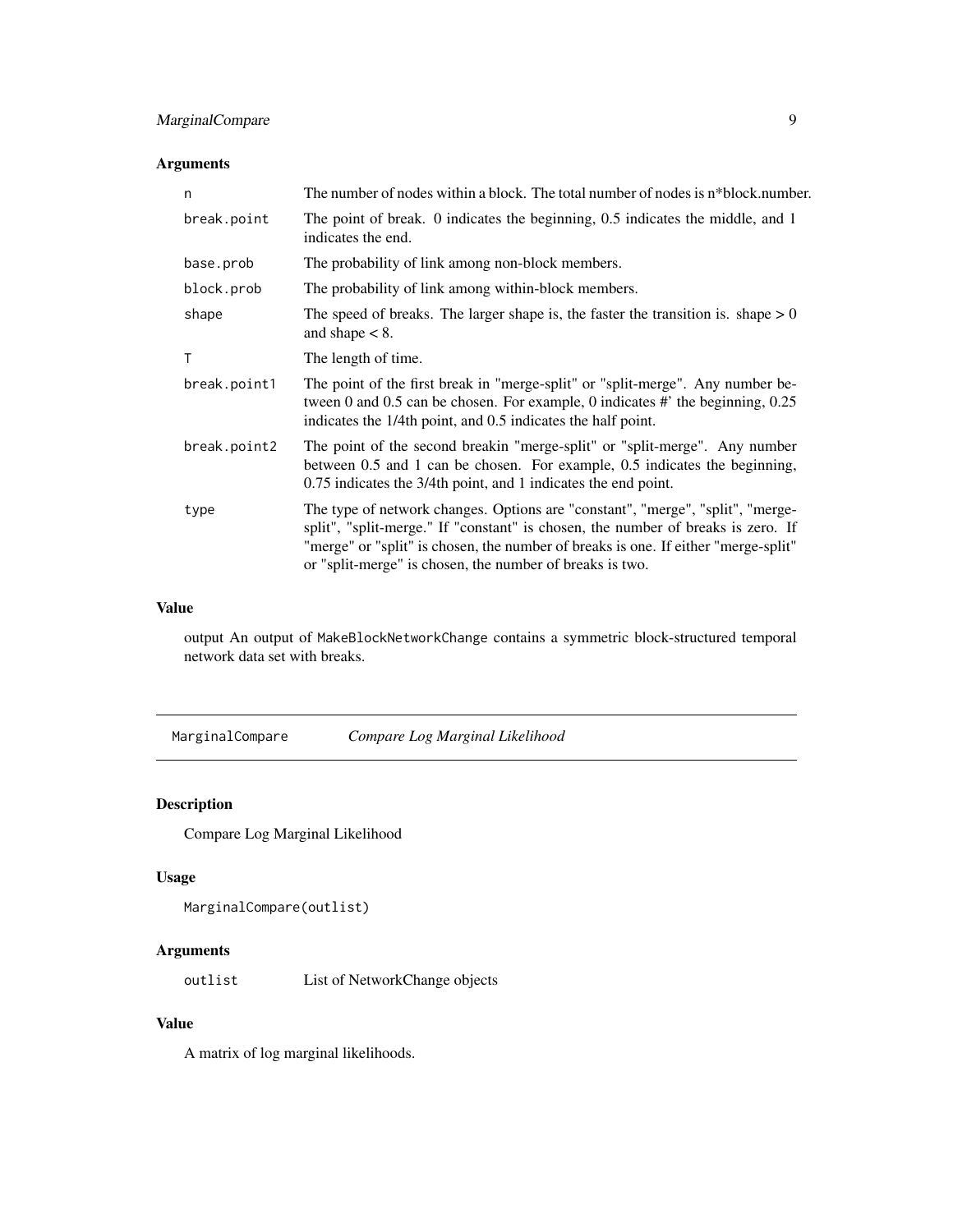# <span id="page-8-0"></span>MarginalCompare 9

## Arguments

| n            | The number of nodes within a block. The total number of nodes is n*block.number.                                                                                                                                                                                                                                     |
|--------------|----------------------------------------------------------------------------------------------------------------------------------------------------------------------------------------------------------------------------------------------------------------------------------------------------------------------|
| break.point  | The point of break. 0 indicates the beginning, 0.5 indicates the middle, and 1<br>indicates the end.                                                                                                                                                                                                                 |
| base.prob    | The probability of link among non-block members.                                                                                                                                                                                                                                                                     |
| block.prob   | The probability of link among within-block members.                                                                                                                                                                                                                                                                  |
| shape        | The speed of breaks. The larger shape is, the faster the transition is. shape $> 0$<br>and shape $< 8$ .                                                                                                                                                                                                             |
| т            | The length of time.                                                                                                                                                                                                                                                                                                  |
| break.point1 | The point of the first break in "merge-split" or "split-merge". Any number be-<br>tween 0 and 0.5 can be chosen. For example, 0 indicates #' the beginning, $0.25$<br>indicates the 1/4th point, and 0.5 indicates the half point.                                                                                   |
| break.point2 | The point of the second breakin "merge-split" or "split-merge". Any number<br>between 0.5 and 1 can be chosen. For example, 0.5 indicates the beginning,<br>0.75 indicates the 3/4th point, and 1 indicates the end point.                                                                                           |
| type         | The type of network changes. Options are "constant", "merge", "split", "merge-<br>split", "split-merge." If "constant" is chosen, the number of breaks is zero. If<br>"merge" or "split" is chosen, the number of breaks is one. If either "merge-split"<br>or "split-merge" is chosen, the number of breaks is two. |

## Value

output An output of MakeBlockNetworkChange contains a symmetric block-structured temporal network data set with breaks.

<span id="page-8-1"></span>MarginalCompare *Compare Log Marginal Likelihood*

# Description

Compare Log Marginal Likelihood

#### Usage

```
MarginalCompare(outlist)
```
# Arguments

outlist List of NetworkChange objects

## Value

A matrix of log marginal likelihoods.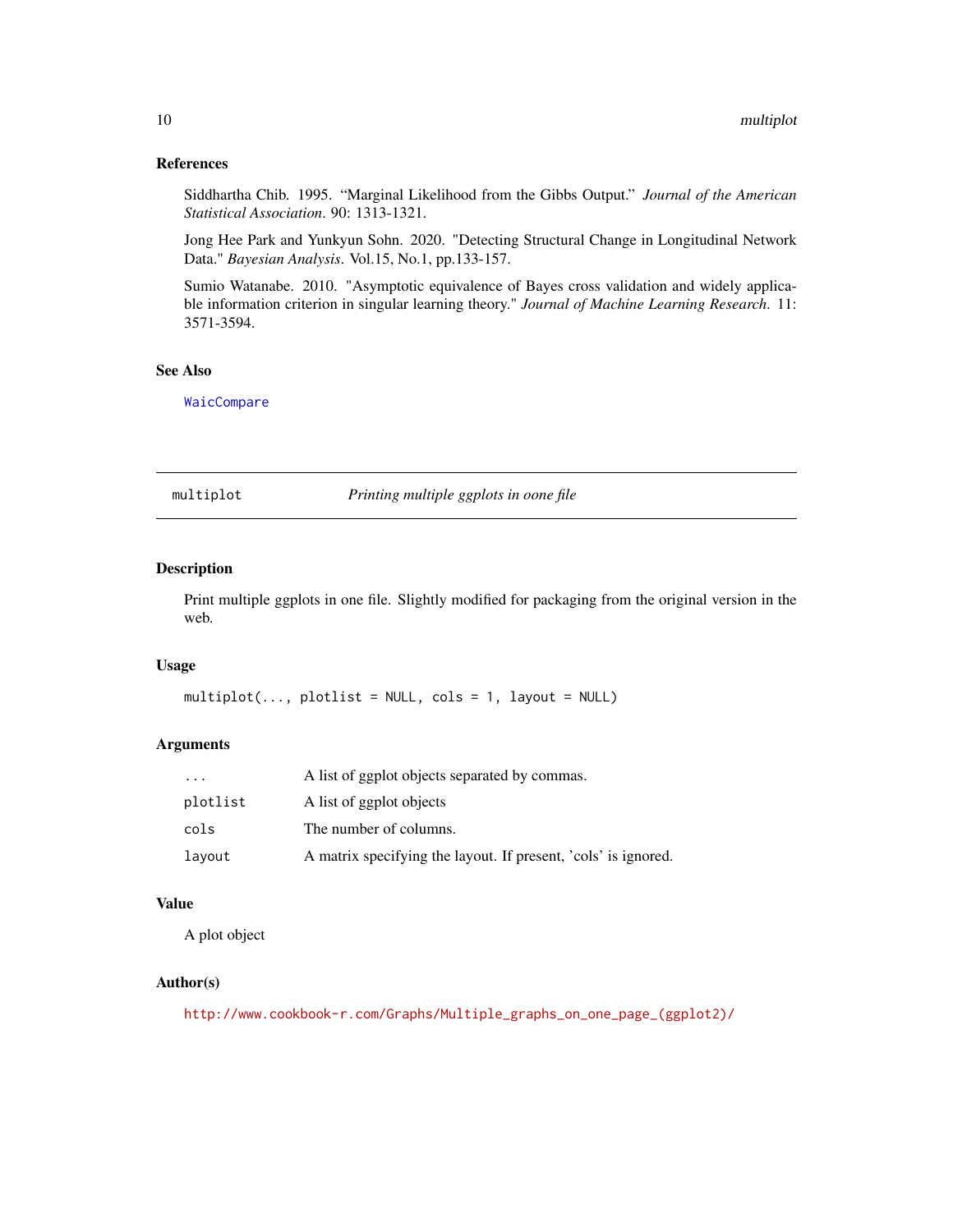#### <span id="page-9-0"></span>References

Siddhartha Chib. 1995. "Marginal Likelihood from the Gibbs Output." *Journal of the American Statistical Association*. 90: 1313-1321.

Jong Hee Park and Yunkyun Sohn. 2020. "Detecting Structural Change in Longitudinal Network Data." *Bayesian Analysis*. Vol.15, No.1, pp.133-157.

Sumio Watanabe. 2010. "Asymptotic equivalence of Bayes cross validation and widely applicable information criterion in singular learning theory." *Journal of Machine Learning Research*. 11: 3571-3594.

#### See Also

[WaicCompare](#page-29-1)

multiplot *Printing multiple ggplots in oone file*

#### Description

Print multiple ggplots in one file. Slightly modified for packaging from the original version in the web.

#### Usage

```
multiplot(..., plotlist = NULL, cols = 1, layout = NULL)
```
#### Arguments

| $\cdot$ $\cdot$ $\cdot$ | A list of ggplot objects separated by commas.                  |
|-------------------------|----------------------------------------------------------------|
| plotlist                | A list of ggplot objects                                       |
| cols                    | The number of columns.                                         |
| layout                  | A matrix specifying the layout. If present, 'cols' is ignored. |

#### Value

A plot object

#### Author(s)

[http://www.cookbook-r.com/Graphs/Multiple\\_graphs\\_on\\_one\\_page\\_\(ggplot2\)/](http://www.cookbook-r.com/Graphs/Multiple_graphs_on_one_page_(ggplot2)/)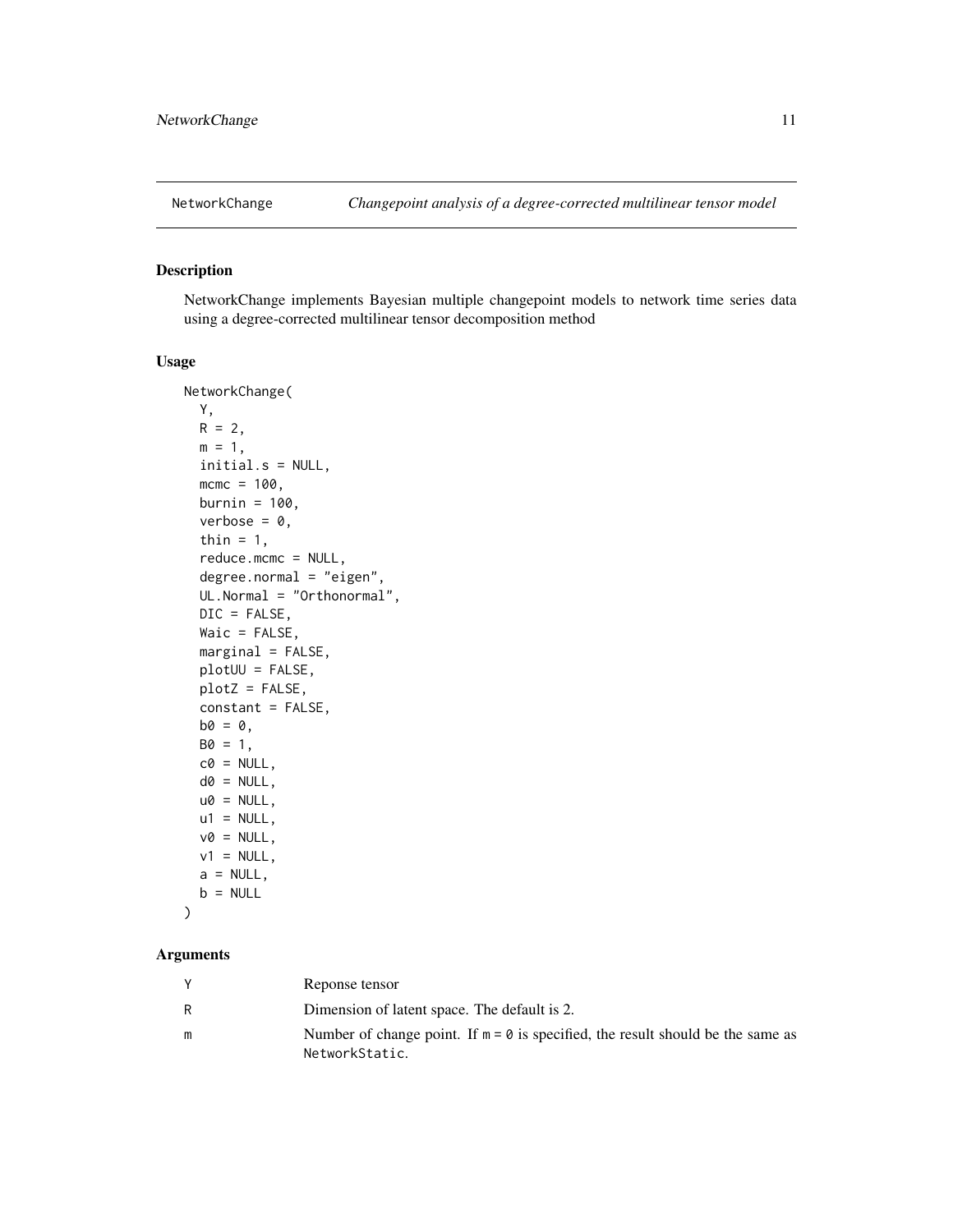<span id="page-10-1"></span><span id="page-10-0"></span>

NetworkChange implements Bayesian multiple changepoint models to network time series data using a degree-corrected multilinear tensor decomposition method

#### Usage

```
NetworkChange(
  Y,
 R = 2,
 m = 1,
  initial.s = NULL,
  mcmc = 100,
 burnin = 100,
  verbose = 0,
  thin = 1,
  reduce.mcmc = NULL,
  degree.normal = "eigen",
  UL.Normal = "Orthonormal",
  DIC = FALSE,
  Waic = FALSE,
 marginal = FALSE,
 plotUU = FALSE,
 plotZ = FALSE,
  constant = FALSE,
 b0 = 0,
 B0 = 1,
  c0 = NULL,
  d0 = NULL,u0 = NULL,u1 = NULL,v0 = NULL,v1 = NULL,a = NULL,b = NULL)
```
## Arguments

| Reponse tensor                                                                                              |
|-------------------------------------------------------------------------------------------------------------|
| Dimension of latent space. The default is 2.                                                                |
| Number of change point. If $m = \emptyset$ is specified, the result should be the same as<br>NetworkStatic. |
|                                                                                                             |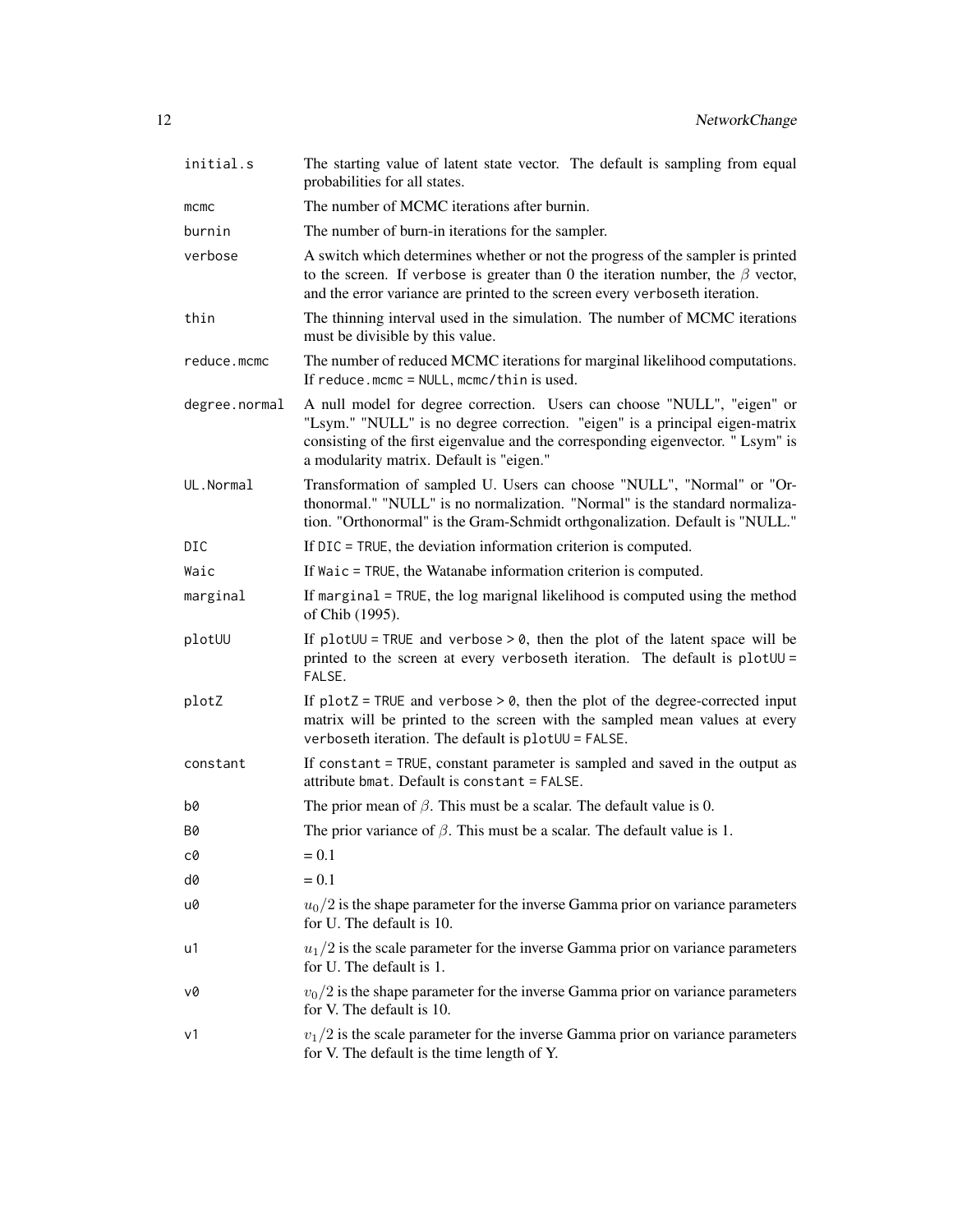| initial.s     | The starting value of latent state vector. The default is sampling from equal<br>probabilities for all states.                                                                                                                                                                        |
|---------------|---------------------------------------------------------------------------------------------------------------------------------------------------------------------------------------------------------------------------------------------------------------------------------------|
| mcmc          | The number of MCMC iterations after burnin.                                                                                                                                                                                                                                           |
| burnin        | The number of burn-in iterations for the sampler.                                                                                                                                                                                                                                     |
| verbose       | A switch which determines whether or not the progress of the sampler is printed<br>to the screen. If verbose is greater than 0 the iteration number, the $\beta$ vector,<br>and the error variance are printed to the screen every verboseth iteration.                               |
| thin          | The thinning interval used in the simulation. The number of MCMC iterations<br>must be divisible by this value.                                                                                                                                                                       |
| reduce.mcmc   | The number of reduced MCMC iterations for marginal likelihood computations.<br>If reduce.mcmc = $NULL$ , mcmc/thin is used.                                                                                                                                                           |
| degree.normal | A null model for degree correction. Users can choose "NULL", "eigen" or<br>"Lsym." "NULL" is no degree correction. "eigen" is a principal eigen-matrix<br>consisting of the first eigenvalue and the corresponding eigenvector. "Lsym" is<br>a modularity matrix. Default is "eigen." |
| UL.Normal     | Transformation of sampled U. Users can choose "NULL", "Normal" or "Or-<br>thonormal." "NULL" is no normalization. "Normal" is the standard normaliza-<br>tion. "Orthonormal" is the Gram-Schmidt orthgonalization. Default is "NULL."                                                 |
| DIC           | If DIC = TRUE, the deviation information criterion is computed.                                                                                                                                                                                                                       |
| Waic          | If Waic = TRUE, the Watanabe information criterion is computed.                                                                                                                                                                                                                       |
| marginal      | If marginal = TRUE, the log marignal likelihood is computed using the method<br>of Chib (1995).                                                                                                                                                                                       |
| plotUU        | If plot $UU$ = TRUE and verbose > 0, then the plot of the latent space will be<br>printed to the screen at every verboseth iteration. The default is plotUU =<br>FALSE.                                                                                                               |
| plotZ         | If $plotZ = TRUE$ and verbose $> 0$ , then the plot of the degree-corrected input<br>matrix will be printed to the screen with the sampled mean values at every<br>verboseth iteration. The default is plotUU = FALSE.                                                                |
| constant      | If constant = TRUE, constant parameter is sampled and saved in the output as<br>attribute bmat. Default is constant = FALSE.                                                                                                                                                          |
| b0            | The prior mean of $\beta$ . This must be a scalar. The default value is 0.                                                                                                                                                                                                            |
| Β0            | The prior variance of $\beta$ . This must be a scalar. The default value is 1.                                                                                                                                                                                                        |
| cØ            | $= 0.1$                                                                                                                                                                                                                                                                               |
| d0            | $= 0.1$                                                                                                                                                                                                                                                                               |
| u0            | $u_0/2$ is the shape parameter for the inverse Gamma prior on variance parameters<br>for U. The default is 10.                                                                                                                                                                        |
| u1            | $u_1/2$ is the scale parameter for the inverse Gamma prior on variance parameters<br>for U. The default is 1.                                                                                                                                                                         |
| v0            | $v_0/2$ is the shape parameter for the inverse Gamma prior on variance parameters<br>for V. The default is 10.                                                                                                                                                                        |
| ν1            | $v_1/2$ is the scale parameter for the inverse Gamma prior on variance parameters<br>for V. The default is the time length of Y.                                                                                                                                                      |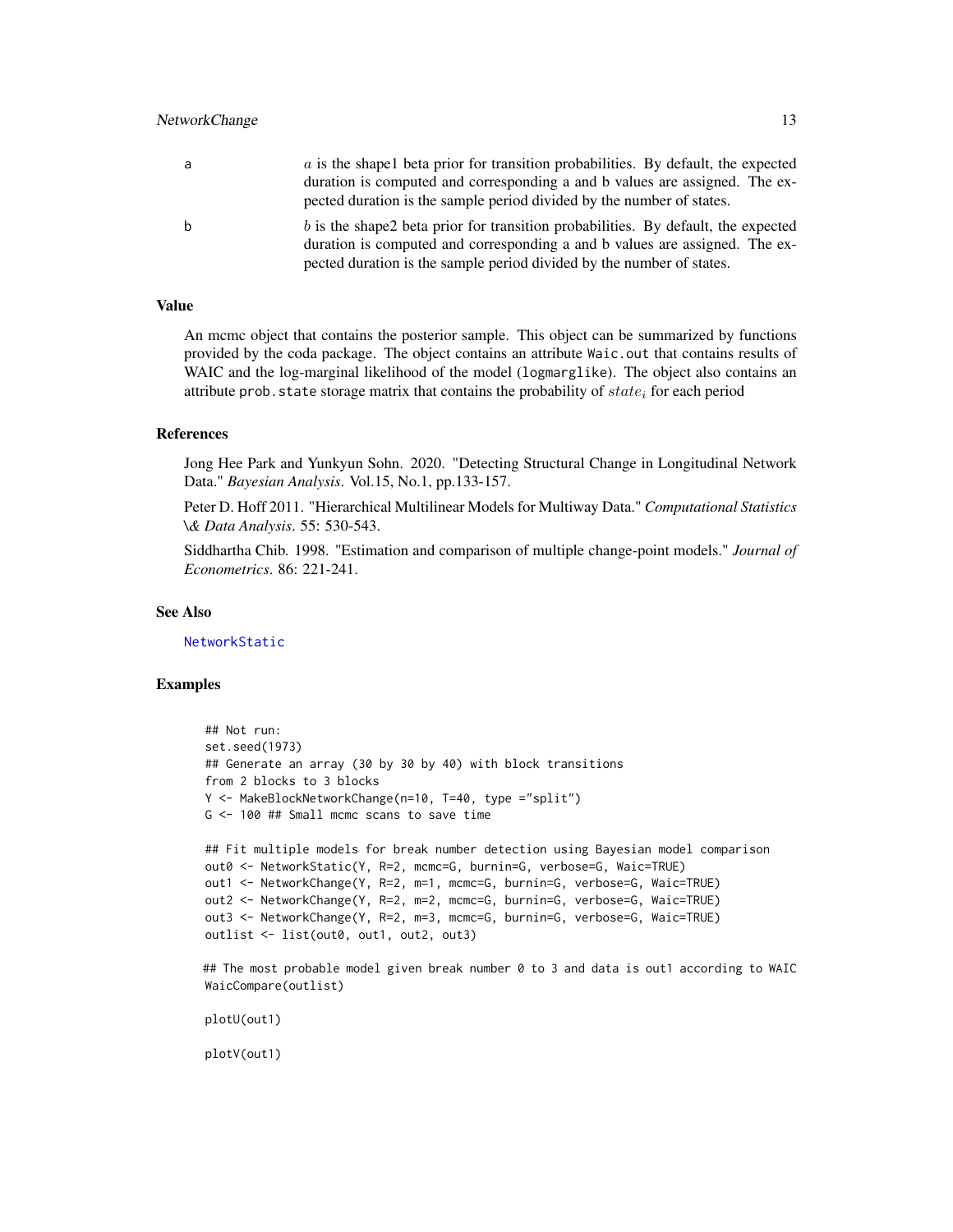<span id="page-12-0"></span>

| a | a is the shapel beta prior for transition probabilities. By default, the expected                                                                                                                                                         |
|---|-------------------------------------------------------------------------------------------------------------------------------------------------------------------------------------------------------------------------------------------|
|   | duration is computed and corresponding a and b values are assigned. The ex-                                                                                                                                                               |
|   | pected duration is the sample period divided by the number of states.                                                                                                                                                                     |
|   | b is the shape2 beta prior for transition probabilities. By default, the expected<br>duration is computed and corresponding a and b values are assigned. The ex-<br>pected duration is the sample period divided by the number of states. |

#### Value

An mcmc object that contains the posterior sample. This object can be summarized by functions provided by the coda package. The object contains an attribute Waic.out that contains results of WAIC and the log-marginal likelihood of the model (logmarglike). The object also contains an attribute prob. state storage matrix that contains the probability of  $state_i$  for each period

#### References

Jong Hee Park and Yunkyun Sohn. 2020. "Detecting Structural Change in Longitudinal Network Data." *Bayesian Analysis*. Vol.15, No.1, pp.133-157.

Peter D. Hoff 2011. "Hierarchical Multilinear Models for Multiway Data." *Computational Statistics \& Data Analysis*. 55: 530-543.

Siddhartha Chib. 1998. "Estimation and comparison of multiple change-point models." *Journal of Econometrics*. 86: 221-241.

#### See Also

[NetworkStatic](#page-15-1)

#### Examples

```
## Not run:
set.seed(1973)
## Generate an array (30 by 30 by 40) with block transitions
from 2 blocks to 3 blocks
Y <- MakeBlockNetworkChange(n=10, T=40, type ="split")
G <- 100 ## Small mcmc scans to save time
## Fit multiple models for break number detection using Bayesian model comparison
out0 <- NetworkStatic(Y, R=2, mcmc=G, burnin=G, verbose=G, Waic=TRUE)
out1 <- NetworkChange(Y, R=2, m=1, mcmc=G, burnin=G, verbose=G, Waic=TRUE)
out2 <- NetworkChange(Y, R=2, m=2, mcmc=G, burnin=G, verbose=G, Waic=TRUE)
out3 <- NetworkChange(Y, R=2, m=3, mcmc=G, burnin=G, verbose=G, Waic=TRUE)
outlist <- list(out0, out1, out2, out3)
```
## The most probable model given break number 0 to 3 and data is out1 according to WAIC WaicCompare(outlist)

plotU(out1)

plotV(out1)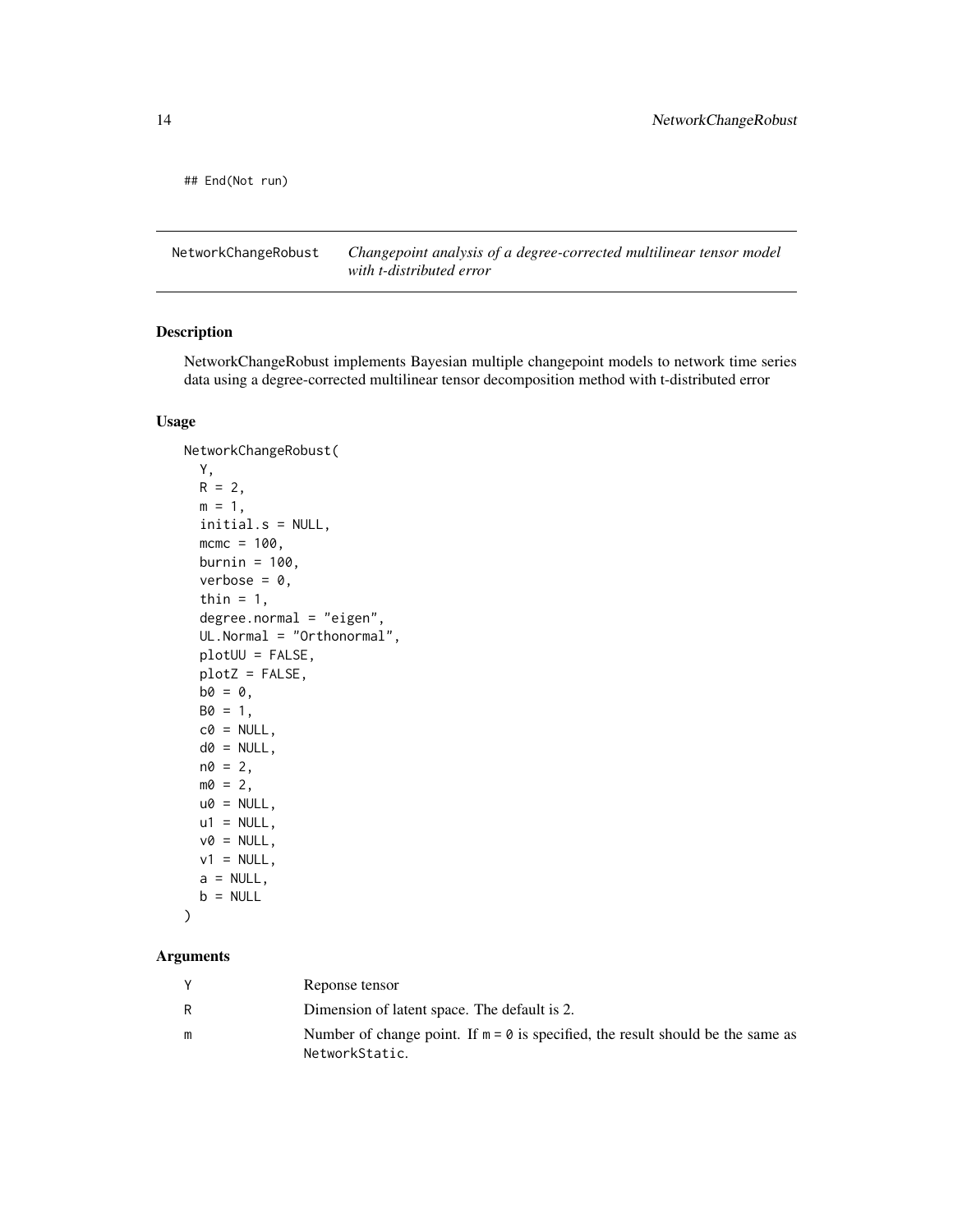<span id="page-13-0"></span>## End(Not run)

NetworkChangeRobust *Changepoint analysis of a degree-corrected multilinear tensor model with t-distributed error*

## Description

NetworkChangeRobust implements Bayesian multiple changepoint models to network time series data using a degree-corrected multilinear tensor decomposition method with t-distributed error

#### Usage

```
NetworkChangeRobust(
 Y,
 R = 2,
 m = 1,initial.s = NULL,
 mcmc = 100,
 burnin = 100,
 verbose = 0,thin = 1,
 degree.normal = "eigen",
 UL.Normal = "Orthonormal",
 plotUU = FALSE,
 plotZ = FALSE,
 b0 = 0,
 B0 = 1,
 c0 = NULL,d0 = NULL,
 n0 = 2,
 m0 = 2,
 u0 = NULL,u1 = NULL,v0 = NULL,v1 = NULL,a = NULL,b = NULL)
```
#### Arguments

| Reponse tensor                                                                            |
|-------------------------------------------------------------------------------------------|
| Dimension of latent space. The default is 2.                                              |
| Number of change point. If $m = \emptyset$ is specified, the result should be the same as |
| NetworkStatic.                                                                            |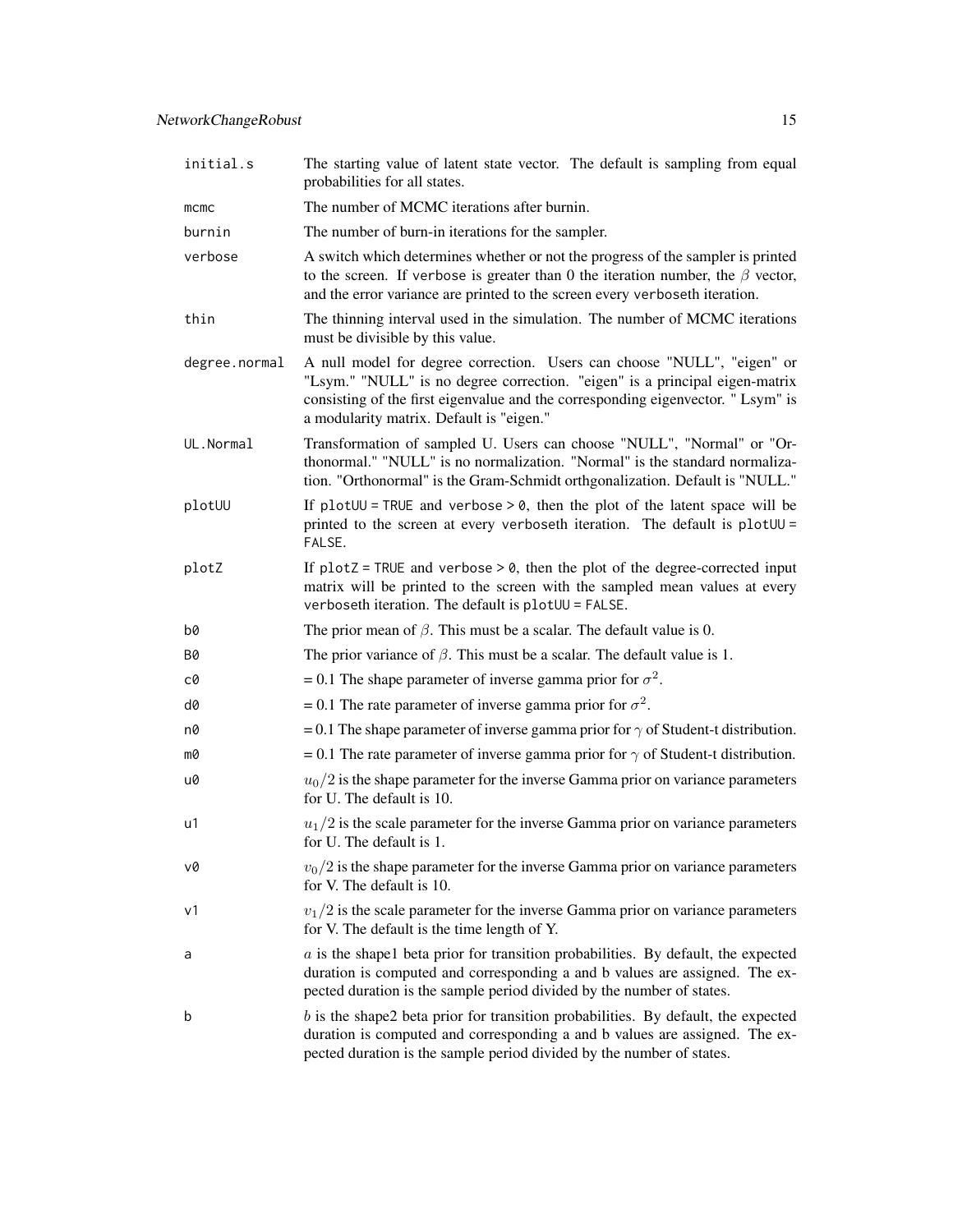| initial.s     | The starting value of latent state vector. The default is sampling from equal<br>probabilities for all states.                                                                                                                                                                        |
|---------------|---------------------------------------------------------------------------------------------------------------------------------------------------------------------------------------------------------------------------------------------------------------------------------------|
| mcmc          | The number of MCMC iterations after burnin.                                                                                                                                                                                                                                           |
| burnin        | The number of burn-in iterations for the sampler.                                                                                                                                                                                                                                     |
| verbose       | A switch which determines whether or not the progress of the sampler is printed<br>to the screen. If verbose is greater than 0 the iteration number, the $\beta$ vector,<br>and the error variance are printed to the screen every verboseth iteration.                               |
| thin          | The thinning interval used in the simulation. The number of MCMC iterations<br>must be divisible by this value.                                                                                                                                                                       |
| degree.normal | A null model for degree correction. Users can choose "NULL", "eigen" or<br>"Lsym." "NULL" is no degree correction. "eigen" is a principal eigen-matrix<br>consisting of the first eigenvalue and the corresponding eigenvector. "Lsym" is<br>a modularity matrix. Default is "eigen." |
| UL.Normal     | Transformation of sampled U. Users can choose "NULL", "Normal" or "Or-<br>thonormal." "NULL" is no normalization. "Normal" is the standard normaliza-<br>tion. "Orthonormal" is the Gram-Schmidt orthgonalization. Default is "NULL."                                                 |
| plotUU        | If plot $UU$ = TRUE and verbose > 0, then the plot of the latent space will be<br>printed to the screen at every verboseth iteration. The default is plotUU =<br>FALSE.                                                                                                               |
| plotZ         | If $plotZ = TRUE$ and verbose $> 0$ , then the plot of the degree-corrected input<br>matrix will be printed to the screen with the sampled mean values at every<br>verboseth iteration. The default is plotUU = FALSE.                                                                |
| b0            | The prior mean of $\beta$ . This must be a scalar. The default value is 0.                                                                                                                                                                                                            |
| Β0            | The prior variance of $\beta$ . This must be a scalar. The default value is 1.                                                                                                                                                                                                        |
| c0            | = 0.1 The shape parameter of inverse gamma prior for $\sigma^2$ .                                                                                                                                                                                                                     |
| d0            | = 0.1 The rate parameter of inverse gamma prior for $\sigma^2$ .                                                                                                                                                                                                                      |
| n0            | = 0.1 The shape parameter of inverse gamma prior for $\gamma$ of Student-t distribution.                                                                                                                                                                                              |
| m0            | = 0.1 The rate parameter of inverse gamma prior for $\gamma$ of Student-t distribution.                                                                                                                                                                                               |
| u0            | $u_0/2$ is the shape parameter for the inverse Gamma prior on variance parameters<br>for U. The default is 10.                                                                                                                                                                        |
| u1            | $u_1/2$ is the scale parameter for the inverse Gamma prior on variance parameters<br>for U. The default is 1.                                                                                                                                                                         |
| v0            | $v_0/2$ is the shape parameter for the inverse Gamma prior on variance parameters<br>for V. The default is 10.                                                                                                                                                                        |
| ν1            | $v_1/2$ is the scale parameter for the inverse Gamma prior on variance parameters<br>for V. The default is the time length of Y.                                                                                                                                                      |
| a             | $a$ is the shapel beta prior for transition probabilities. By default, the expected<br>duration is computed and corresponding a and b values are assigned. The ex-<br>pected duration is the sample period divided by the number of states.                                           |
| b             | $b$ is the shape2 beta prior for transition probabilities. By default, the expected<br>duration is computed and corresponding a and b values are assigned. The ex-<br>pected duration is the sample period divided by the number of states.                                           |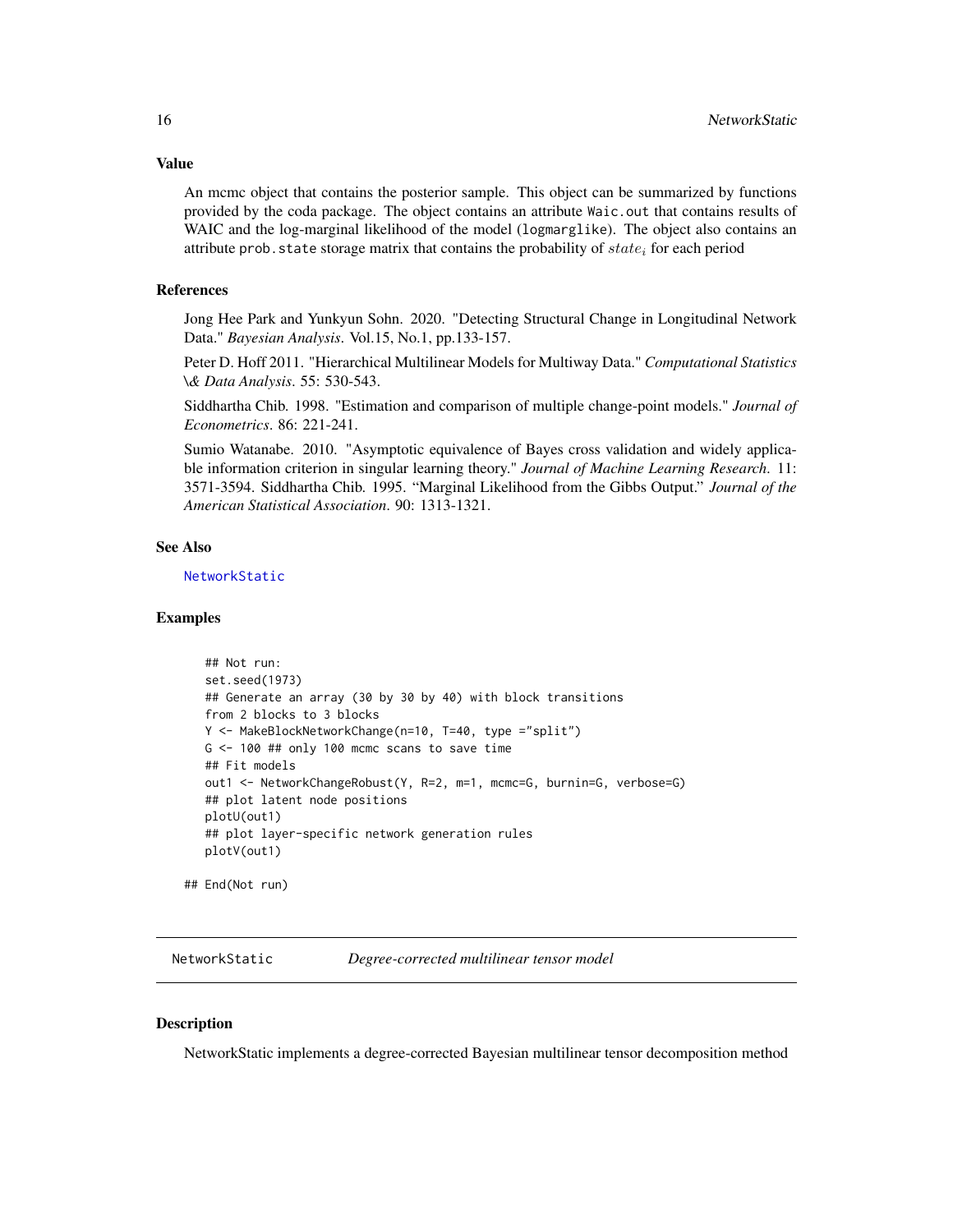<span id="page-15-0"></span>Value

An mcmc object that contains the posterior sample. This object can be summarized by functions provided by the coda package. The object contains an attribute Waic.out that contains results of WAIC and the log-marginal likelihood of the model (logmarglike). The object also contains an attribute prob. state storage matrix that contains the probability of  $state_i$  for each period

#### References

Jong Hee Park and Yunkyun Sohn. 2020. "Detecting Structural Change in Longitudinal Network Data." *Bayesian Analysis*. Vol.15, No.1, pp.133-157.

Peter D. Hoff 2011. "Hierarchical Multilinear Models for Multiway Data." *Computational Statistics \& Data Analysis*. 55: 530-543.

Siddhartha Chib. 1998. "Estimation and comparison of multiple change-point models." *Journal of Econometrics*. 86: 221-241.

Sumio Watanabe. 2010. "Asymptotic equivalence of Bayes cross validation and widely applicable information criterion in singular learning theory." *Journal of Machine Learning Research*. 11: 3571-3594. Siddhartha Chib. 1995. "Marginal Likelihood from the Gibbs Output." *Journal of the American Statistical Association*. 90: 1313-1321.

#### See Also

[NetworkStatic](#page-15-1)

#### Examples

```
## Not run:
set.seed(1973)
## Generate an array (30 by 30 by 40) with block transitions
from 2 blocks to 3 blocks
Y <- MakeBlockNetworkChange(n=10, T=40, type ="split")
G \le -100 ## only 100 mcmc scans to save time
## Fit models
out1 <- NetworkChangeRobust(Y, R=2, m=1, mcmc=G, burnin=G, verbose=G)
## plot latent node positions
plotU(out1)
## plot layer-specific network generation rules
plotV(out1)
```
## End(Not run)

<span id="page-15-1"></span>NetworkStatic *Degree-corrected multilinear tensor model*

#### **Description**

NetworkStatic implements a degree-corrected Bayesian multilinear tensor decomposition method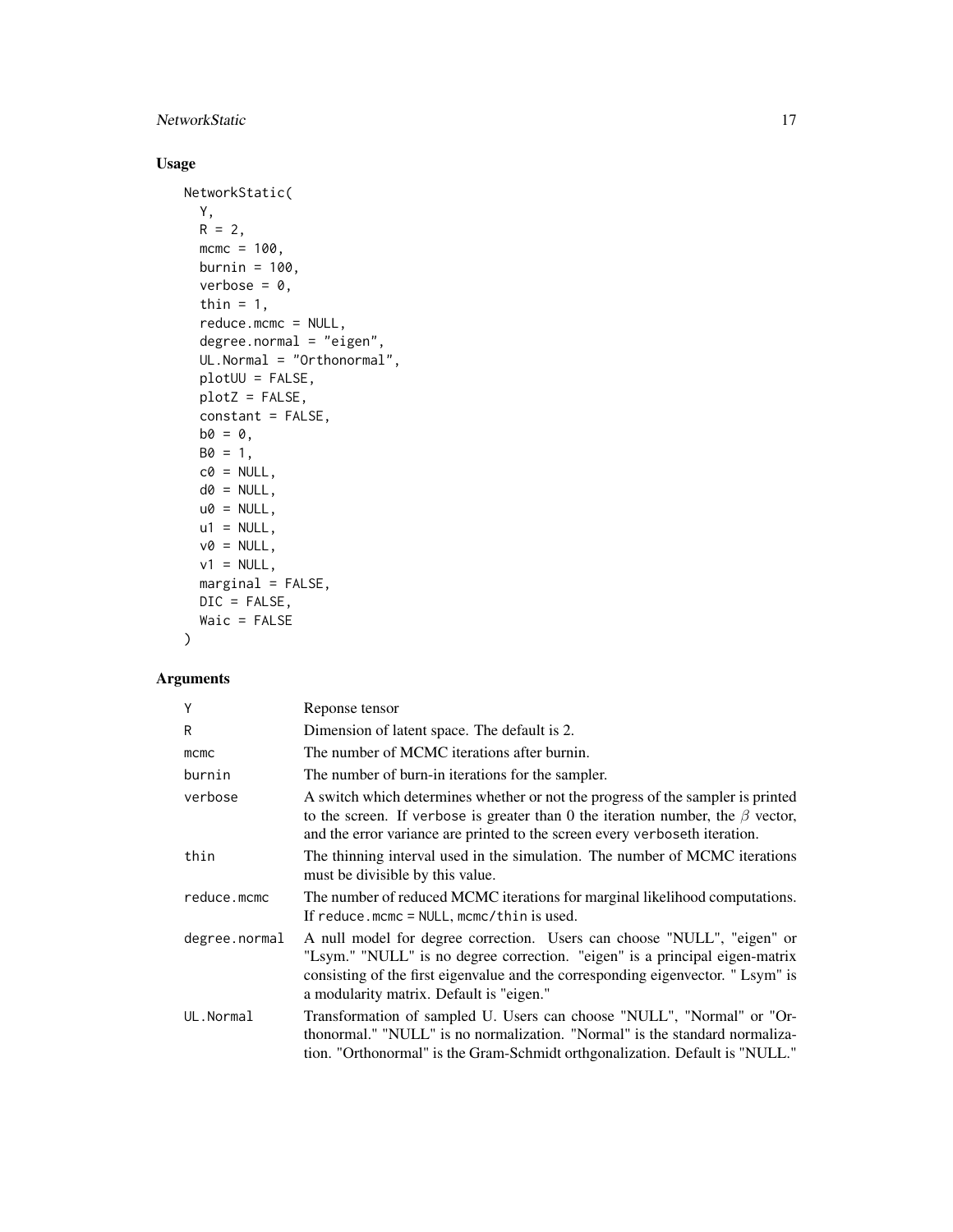# NetworkStatic 17

# Usage

```
NetworkStatic(
 Y,
 R = 2,
 mcmc = 100,
 burnin = 100,
 verbose = 0,
  thin = 1,
  reduce.mcmc = NULL,
  degree.normal = "eigen",
 UL.Normal = "Orthonormal",
 plotUU = FALSE,
 plotZ = FALSE,constant = FALSE,
 b0 = 0,
 B0 = 1,
 c0 = NULL,d0 = NULL,u0 = NULL,u1 = NULL,v0 = NULL,v1 = NULL,marginal = FALSE,
 DIC = FALSE,
 Waic = FALSE
```
## $\mathcal{L}$

## Arguments

| Y             | Reponse tensor                                                                                                                                                                                                                                                                        |
|---------------|---------------------------------------------------------------------------------------------------------------------------------------------------------------------------------------------------------------------------------------------------------------------------------------|
| R             | Dimension of latent space. The default is 2.                                                                                                                                                                                                                                          |
| mcmc          | The number of MCMC iterations after burnin.                                                                                                                                                                                                                                           |
| burnin        | The number of burn-in iterations for the sampler.                                                                                                                                                                                                                                     |
| verbose       | A switch which determines whether or not the progress of the sampler is printed<br>to the screen. If verbose is greater than 0 the iteration number, the $\beta$ vector,<br>and the error variance are printed to the screen every verboseth iteration.                               |
| thin          | The thinning interval used in the simulation. The number of MCMC iterations<br>must be divisible by this value.                                                                                                                                                                       |
| reduce.mcmc   | The number of reduced MCMC iterations for marginal likelihood computations.<br>If reduce.mcmc = $NULL$ , mcmc/thin is used.                                                                                                                                                           |
| degree.normal | A null model for degree correction. Users can choose "NULL", "eigen" or<br>"Lsym." "NULL" is no degree correction. "eigen" is a principal eigen-matrix<br>consisting of the first eigenvalue and the corresponding eigenvector. "Lsym" is<br>a modularity matrix. Default is "eigen." |
| UL.Normal     | Transformation of sampled U. Users can choose "NULL", "Normal" or "Or-<br>thonormal." "NULL" is no normalization. "Normal" is the standard normaliza-<br>tion. "Orthonormal" is the Gram-Schmidt orthgonalization. Default is "NULL."                                                 |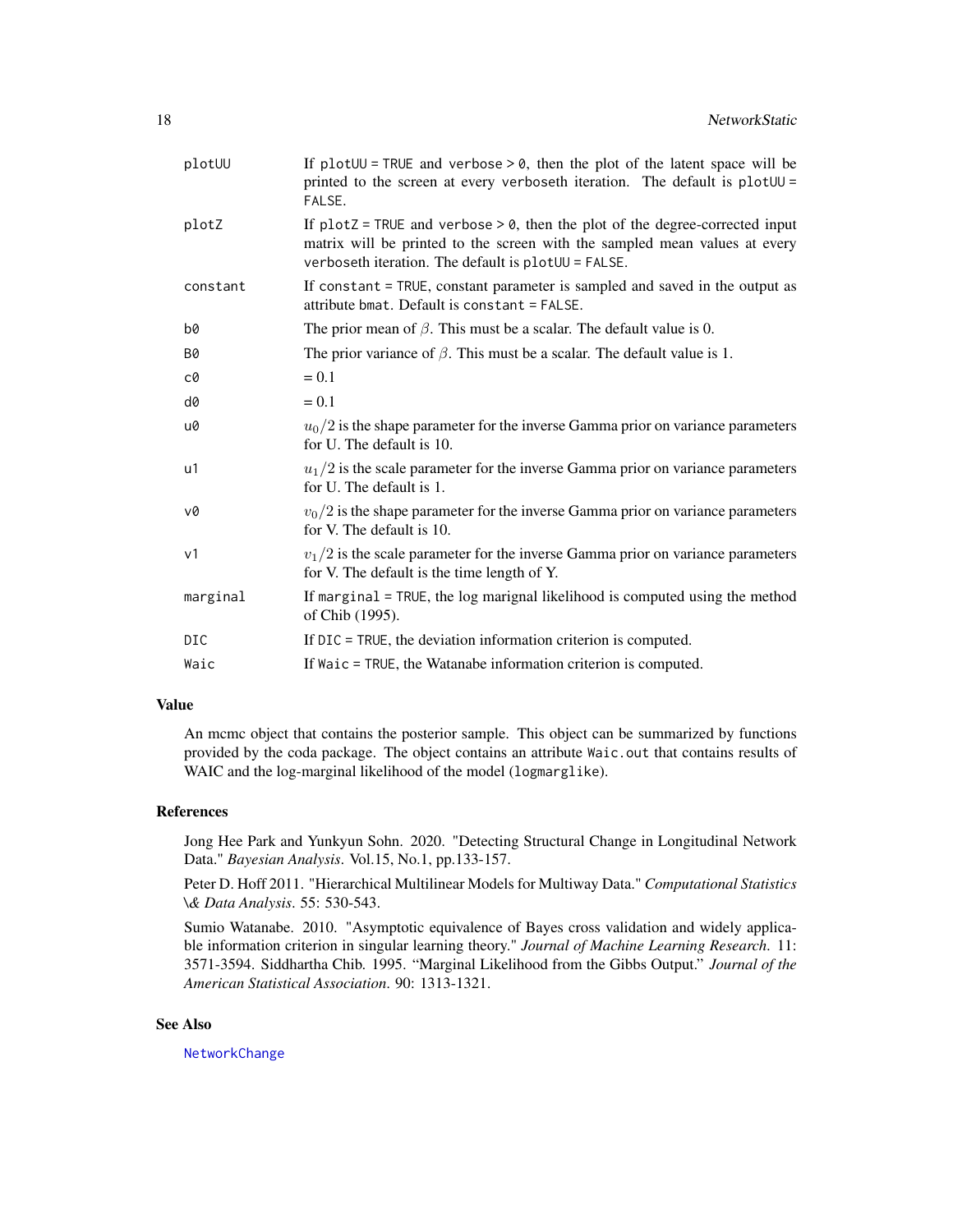<span id="page-17-0"></span>

| plotUU         | If plot $UU$ = TRUE and verbose > 0, then the plot of the latent space will be<br>printed to the screen at every verboseth iteration. The default is plotUU =<br>FALSE.                                                 |
|----------------|-------------------------------------------------------------------------------------------------------------------------------------------------------------------------------------------------------------------------|
| plotZ          | If $plotZ = TRUE$ and verbose $> 0$ , then the plot of the degree-corrected input<br>matrix will be printed to the screen with the sampled mean values at every<br>verboseth iteration. The default is plot UU = FALSE. |
| constant       | If constant = TRUE, constant parameter is sampled and saved in the output as<br>attribute bmat. Default is constant = FALSE.                                                                                            |
| b0             | The prior mean of $\beta$ . This must be a scalar. The default value is 0.                                                                                                                                              |
| <b>B0</b>      | The prior variance of $\beta$ . This must be a scalar. The default value is 1.                                                                                                                                          |
| c0             | $= 0.1$                                                                                                                                                                                                                 |
| d0             | $= 0.1$                                                                                                                                                                                                                 |
| u0             | $u_0/2$ is the shape parameter for the inverse Gamma prior on variance parameters<br>for U. The default is 10.                                                                                                          |
| u1             | $u_1/2$ is the scale parameter for the inverse Gamma prior on variance parameters<br>for U. The default is 1.                                                                                                           |
| v0             | $v_0/2$ is the shape parameter for the inverse Gamma prior on variance parameters<br>for V. The default is 10.                                                                                                          |
| v <sub>1</sub> | $v_1/2$ is the scale parameter for the inverse Gamma prior on variance parameters<br>for V. The default is the time length of Y.                                                                                        |
| marginal       | If marginal $=$ TRUE, the log marignal likelihood is computed using the method<br>of Chib (1995).                                                                                                                       |
| <b>DIC</b>     | If DIC = TRUE, the deviation information criterion is computed.                                                                                                                                                         |
| Waic           | If Waic = TRUE, the Watanabe information criterion is computed.                                                                                                                                                         |

#### Value

An mcmc object that contains the posterior sample. This object can be summarized by functions provided by the coda package. The object contains an attribute Waic.out that contains results of WAIC and the log-marginal likelihood of the model (logmarglike).

#### References

Jong Hee Park and Yunkyun Sohn. 2020. "Detecting Structural Change in Longitudinal Network Data." *Bayesian Analysis*. Vol.15, No.1, pp.133-157.

Peter D. Hoff 2011. "Hierarchical Multilinear Models for Multiway Data." *Computational Statistics \& Data Analysis*. 55: 530-543.

Sumio Watanabe. 2010. "Asymptotic equivalence of Bayes cross validation and widely applicable information criterion in singular learning theory." *Journal of Machine Learning Research*. 11: 3571-3594. Siddhartha Chib. 1995. "Marginal Likelihood from the Gibbs Output." *Journal of the American Statistical Association*. 90: 1313-1321.

#### See Also

[NetworkChange](#page-10-1)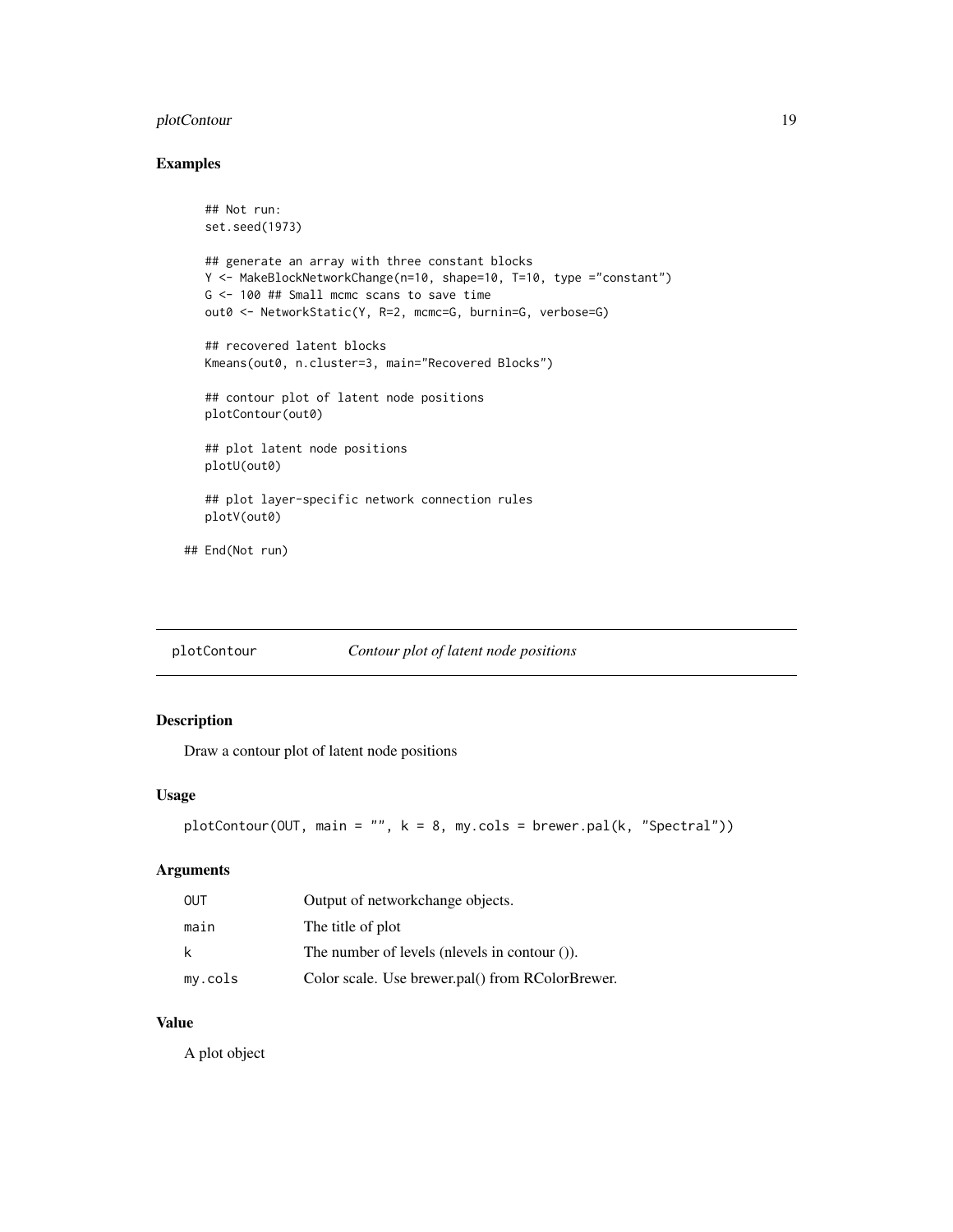## <span id="page-18-0"></span>plotContour 19

## Examples

```
## Not run:
  set.seed(1973)
  ## generate an array with three constant blocks
  Y <- MakeBlockNetworkChange(n=10, shape=10, T=10, type ="constant")
  G <- 100 ## Small mcmc scans to save time
  out0 <- NetworkStatic(Y, R=2, mcmc=G, burnin=G, verbose=G)
  ## recovered latent blocks
  Kmeans(out0, n.cluster=3, main="Recovered Blocks")
  ## contour plot of latent node positions
  plotContour(out0)
  ## plot latent node positions
  plotU(out0)
  ## plot layer-specific network connection rules
  plotV(out0)
## End(Not run)
```

| plotContour |  |  | Contour plot of latent node positions |
|-------------|--|--|---------------------------------------|
|             |  |  |                                       |

## Description

Draw a contour plot of latent node positions

# Usage

```
plotContour(OUT, main = "", k = 8, my.close = brewer.path(k, "Spectral"))
```
#### Arguments

| OUT     | Output of networkchange objects.                 |
|---------|--------------------------------------------------|
| main    | The title of plot                                |
| k.      | The number of levels (nlevels in contour $($ )). |
| my.cols | Color scale. Use brewer.pal() from RColorBrewer. |

#### Value

A plot object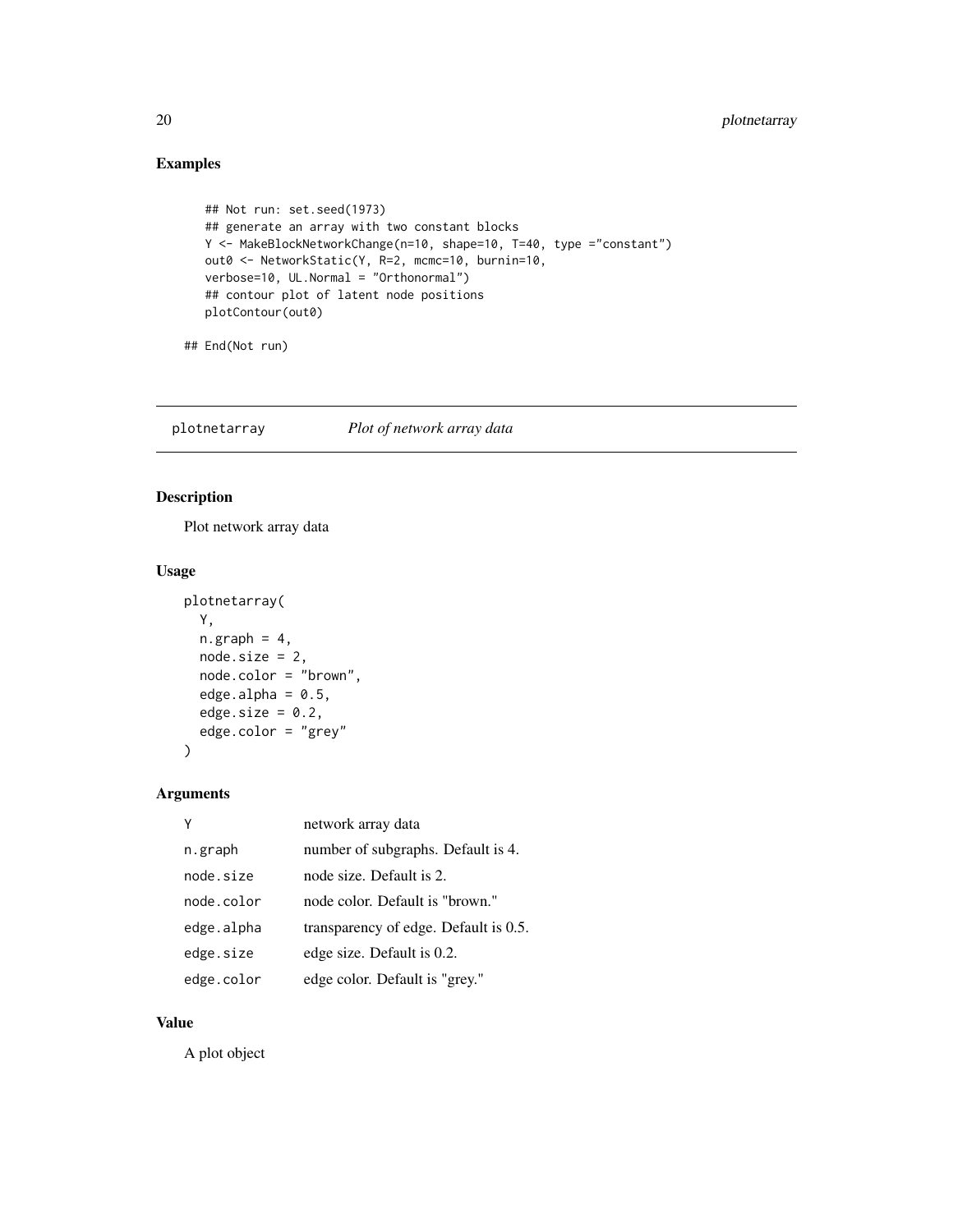# Examples

```
## Not run: set.seed(1973)
## generate an array with two constant blocks
Y <- MakeBlockNetworkChange(n=10, shape=10, T=40, type ="constant")
out0 <- NetworkStatic(Y, R=2, mcmc=10, burnin=10,
verbose=10, UL.Normal = "Orthonormal")
## contour plot of latent node positions
plotContour(out0)
```

```
## End(Not run)
```
plotnetarray *Plot of network array data*

## Description

Plot network array data

## Usage

```
plotnetarray(
 Y,
 n.graph = 4,
  node.size = 2,
  node.color = "brown",
  edge.alpha = 0.5,
 edge.size = 0.2,
  edge.color = "grey"
)
```
## Arguments

|            | network array data                    |
|------------|---------------------------------------|
| n.graph    | number of subgraphs. Default is 4.    |
| node.size  | node size. Default is 2.              |
| node color | node color. Default is "brown."       |
| edge.alpha | transparency of edge. Default is 0.5. |
| edge.size  | edge size. Default is 0.2.            |
| edge.color | edge color. Default is "grey."        |

## Value

A plot object

<span id="page-19-0"></span>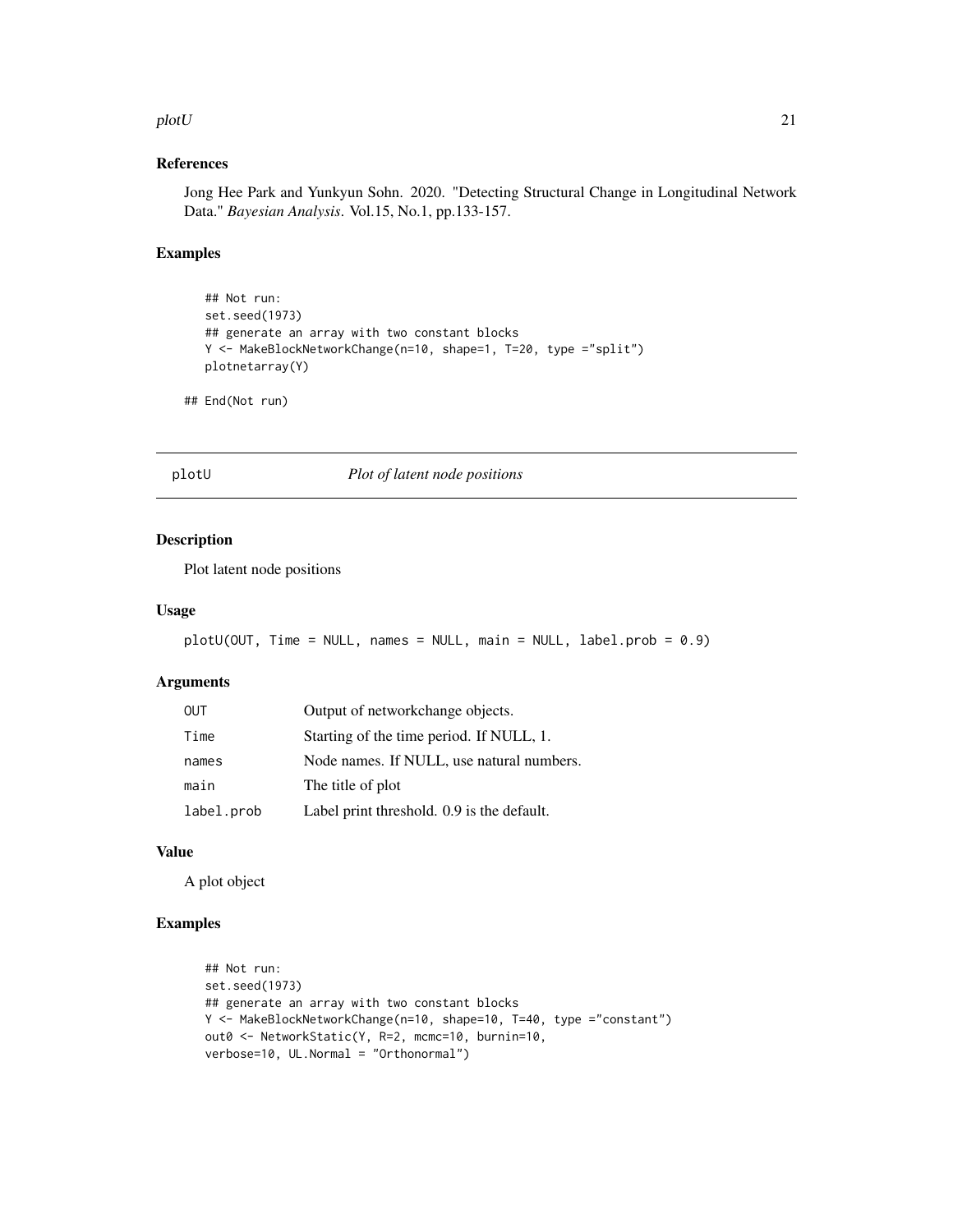#### <span id="page-20-0"></span>plotU 21

## References

Jong Hee Park and Yunkyun Sohn. 2020. "Detecting Structural Change in Longitudinal Network Data." *Bayesian Analysis*. Vol.15, No.1, pp.133-157.

#### Examples

```
## Not run:
set.seed(1973)
## generate an array with two constant blocks
Y <- MakeBlockNetworkChange(n=10, shape=1, T=20, type ="split")
plotnetarray(Y)
```

```
## End(Not run)
```
#### plotU *Plot of latent node positions*

#### Description

Plot latent node positions

#### Usage

```
plotU(OUT, Time = NULL, names = NULL, main = NULL, label.prob = 0.9)
```
#### Arguments

| <b>OUT</b> | Output of networkchange objects.           |
|------------|--------------------------------------------|
| Time       | Starting of the time period. If NULL, 1.   |
| names      | Node names. If NULL, use natural numbers.  |
| main       | The title of plot                          |
| label.prob | Label print threshold. 0.9 is the default. |

## Value

A plot object

# Examples

```
## Not run:
set.seed(1973)
## generate an array with two constant blocks
Y <- MakeBlockNetworkChange(n=10, shape=10, T=40, type ="constant")
out0 <- NetworkStatic(Y, R=2, mcmc=10, burnin=10,
verbose=10, UL.Normal = "Orthonormal")
```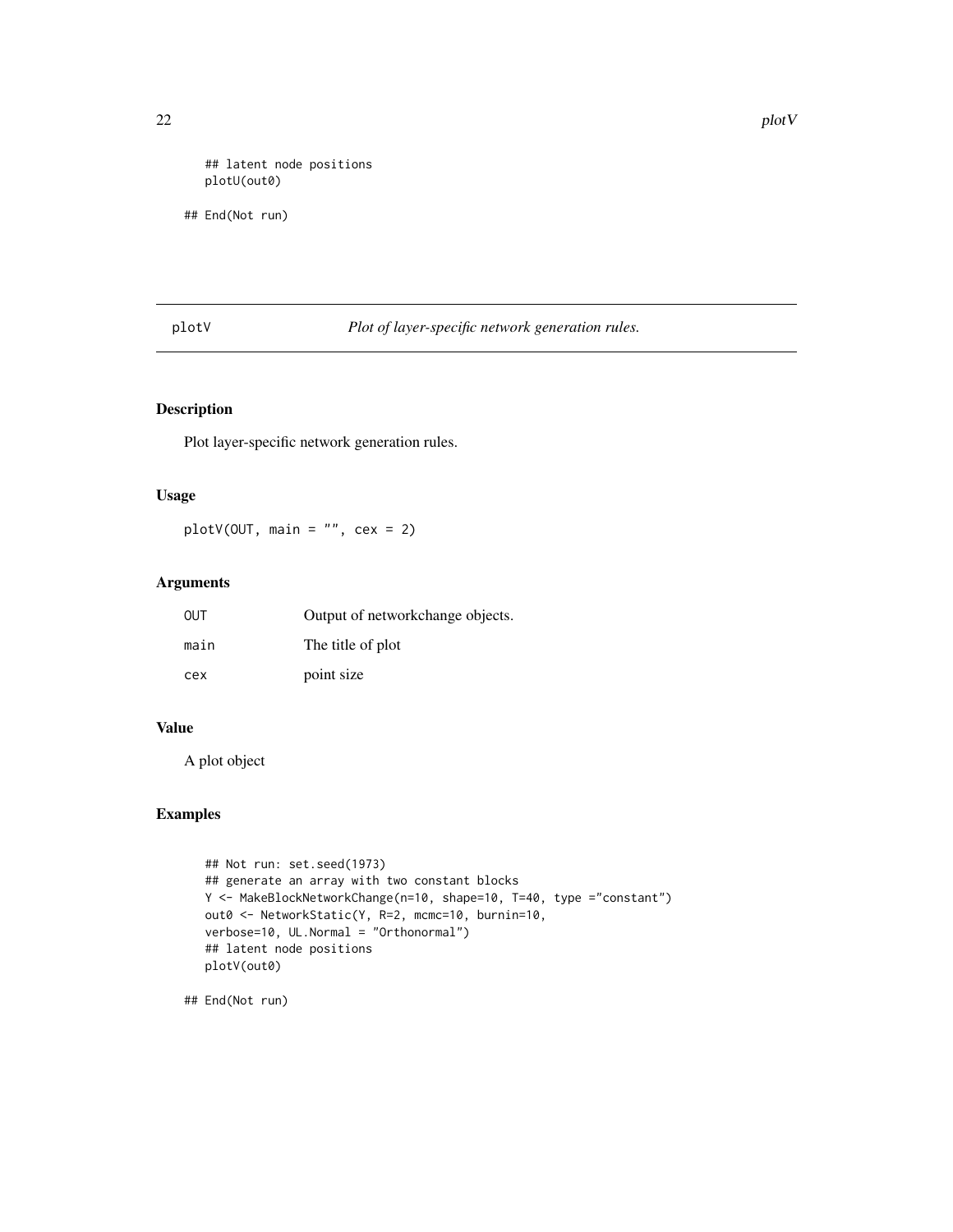<span id="page-21-0"></span>## latent node positions plotU(out0)

## End(Not run)

plotV *Plot of layer-specific network generation rules.*

## Description

Plot layer-specific network generation rules.

## Usage

plotV(OUT, main = "", cex = 2)

#### Arguments

| OUT  | Output of networkchange objects. |
|------|----------------------------------|
| main | The title of plot                |
| cex  | point size                       |

#### Value

A plot object

## Examples

```
## Not run: set.seed(1973)
## generate an array with two constant blocks
Y <- MakeBlockNetworkChange(n=10, shape=10, T=40, type ="constant")
out0 <- NetworkStatic(Y, R=2, mcmc=10, burnin=10,
verbose=10, UL.Normal = "Orthonormal")
## latent node positions
plotV(out0)
```
## End(Not run)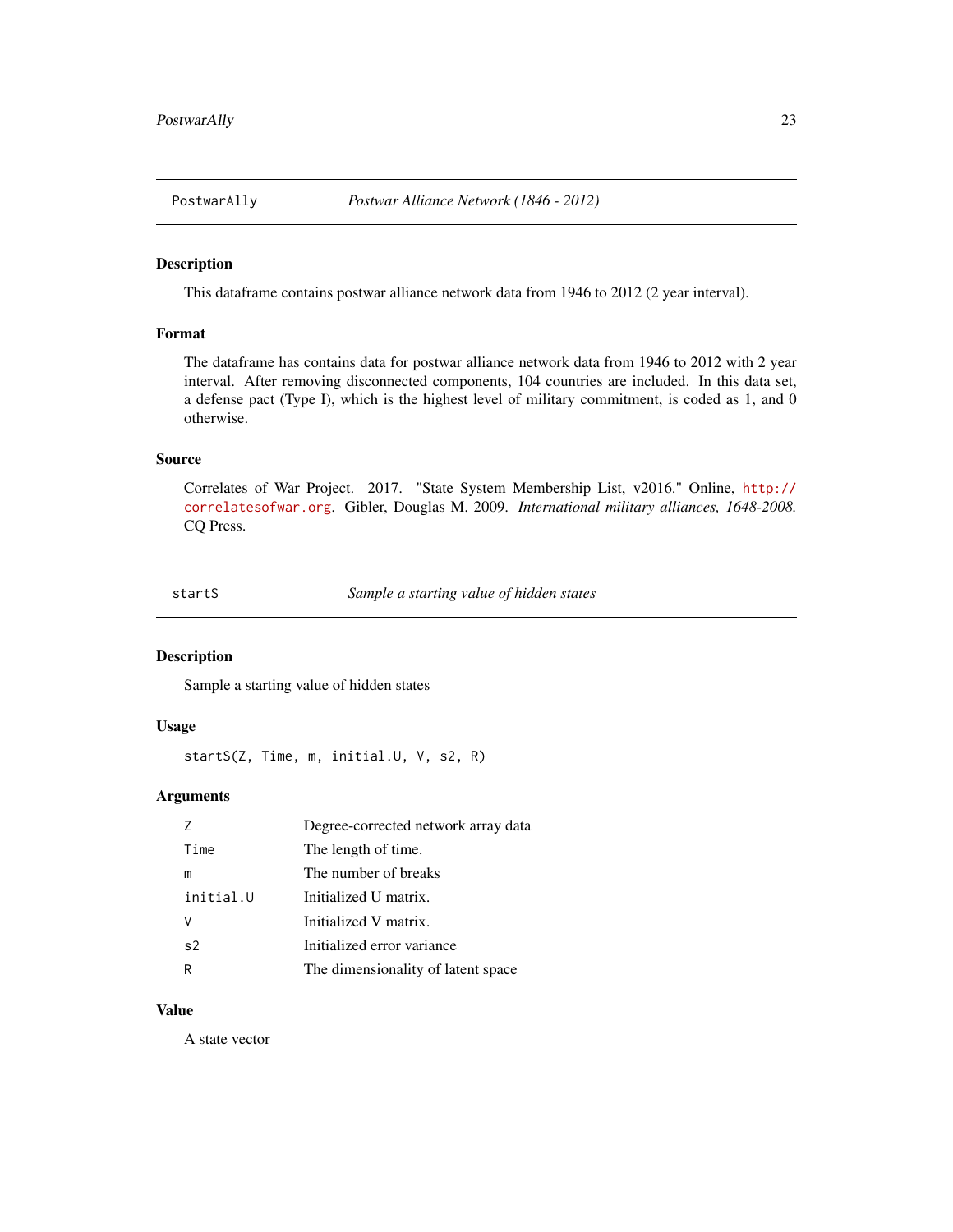<span id="page-22-0"></span>PostwarAlly *Postwar Alliance Network (1846 - 2012)*

#### Description

This dataframe contains postwar alliance network data from 1946 to 2012 (2 year interval).

#### Format

The dataframe has contains data for postwar alliance network data from 1946 to 2012 with 2 year interval. After removing disconnected components, 104 countries are included. In this data set, a defense pact (Type I), which is the highest level of military commitment, is coded as 1, and 0 otherwise.

#### Source

Correlates of War Project. 2017. "State System Membership List, v2016." Online, [http://](http://correlatesofwar.org) [correlatesofwar.org](http://correlatesofwar.org). Gibler, Douglas M. 2009. *International military alliances, 1648-2008.* CQ Press.

startS *Sample a starting value of hidden states*

#### Description

Sample a starting value of hidden states

#### Usage

```
startS(Z, Time, m, initial.U, V, s2, R)
```
# Arguments

|           | Degree-corrected network array data |  |
|-----------|-------------------------------------|--|
| Time      | The length of time.                 |  |
| m         | The number of breaks                |  |
| initial.U | Initialized U matrix.               |  |
|           | Initialized V matrix.               |  |
| s2        | Initialized error variance          |  |
| R         | The dimensionality of latent space  |  |

#### Value

A state vector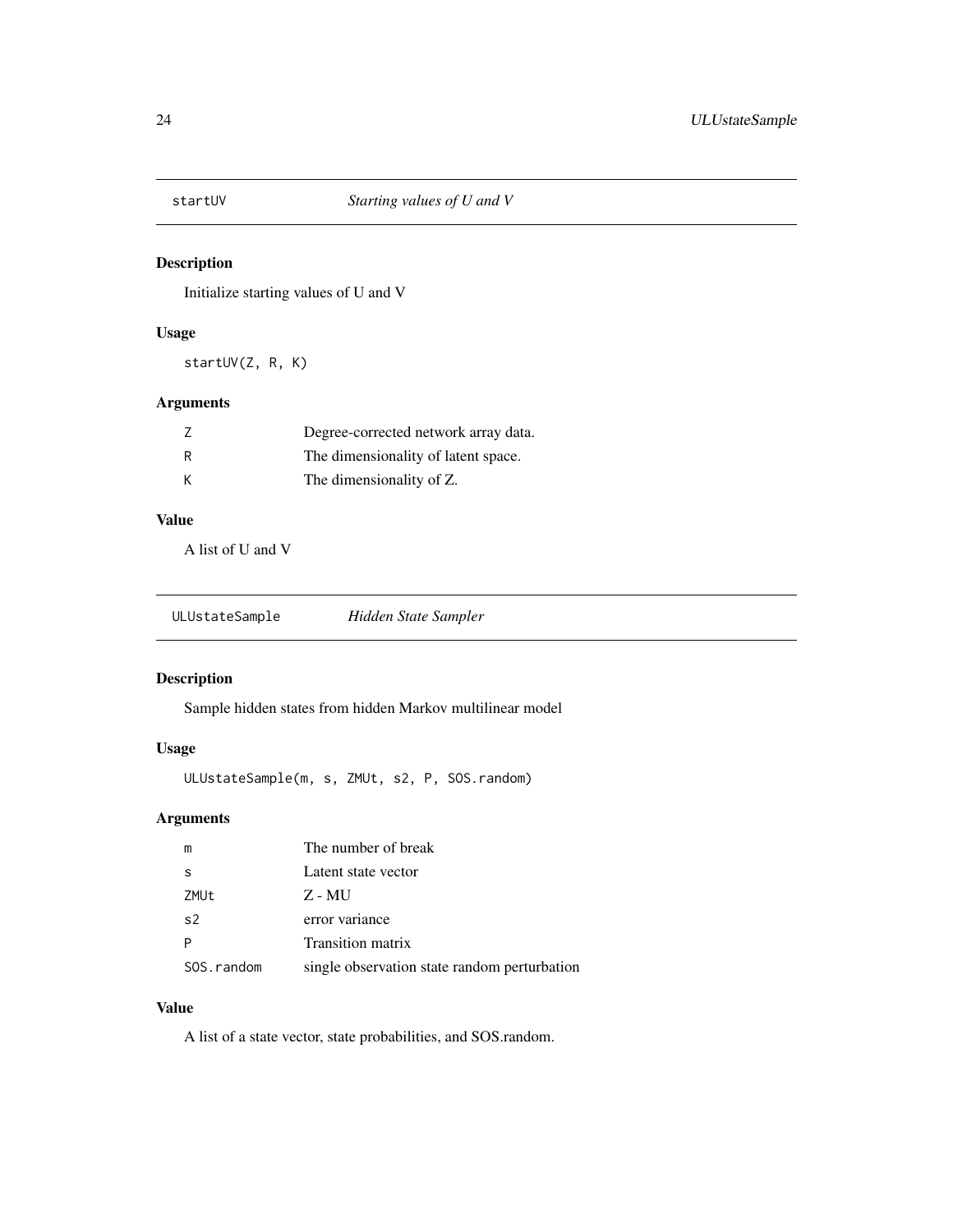<span id="page-23-0"></span>

Initialize starting values of U and V

## Usage

startUV(Z, R, K)

# Arguments

|   | Degree-corrected network array data. |
|---|--------------------------------------|
| R | The dimensionality of latent space.  |
| K | The dimensionality of Z.             |

## Value

A list of U and V

| ULUstateSample | Hidden State Sampler |
|----------------|----------------------|
|                |                      |

## Description

Sample hidden states from hidden Markov multilinear model

## Usage

ULUstateSample(m, s, ZMUt, s2, P, SOS.random)

## Arguments

| m              | The number of break                          |
|----------------|----------------------------------------------|
| -S             | Latent state vector                          |
| ZMUt           | Z - MU                                       |
| s <sub>2</sub> | error variance                               |
|                | Transition matrix                            |
| SOS.random     | single observation state random perturbation |

## Value

A list of a state vector, state probabilities, and SOS.random.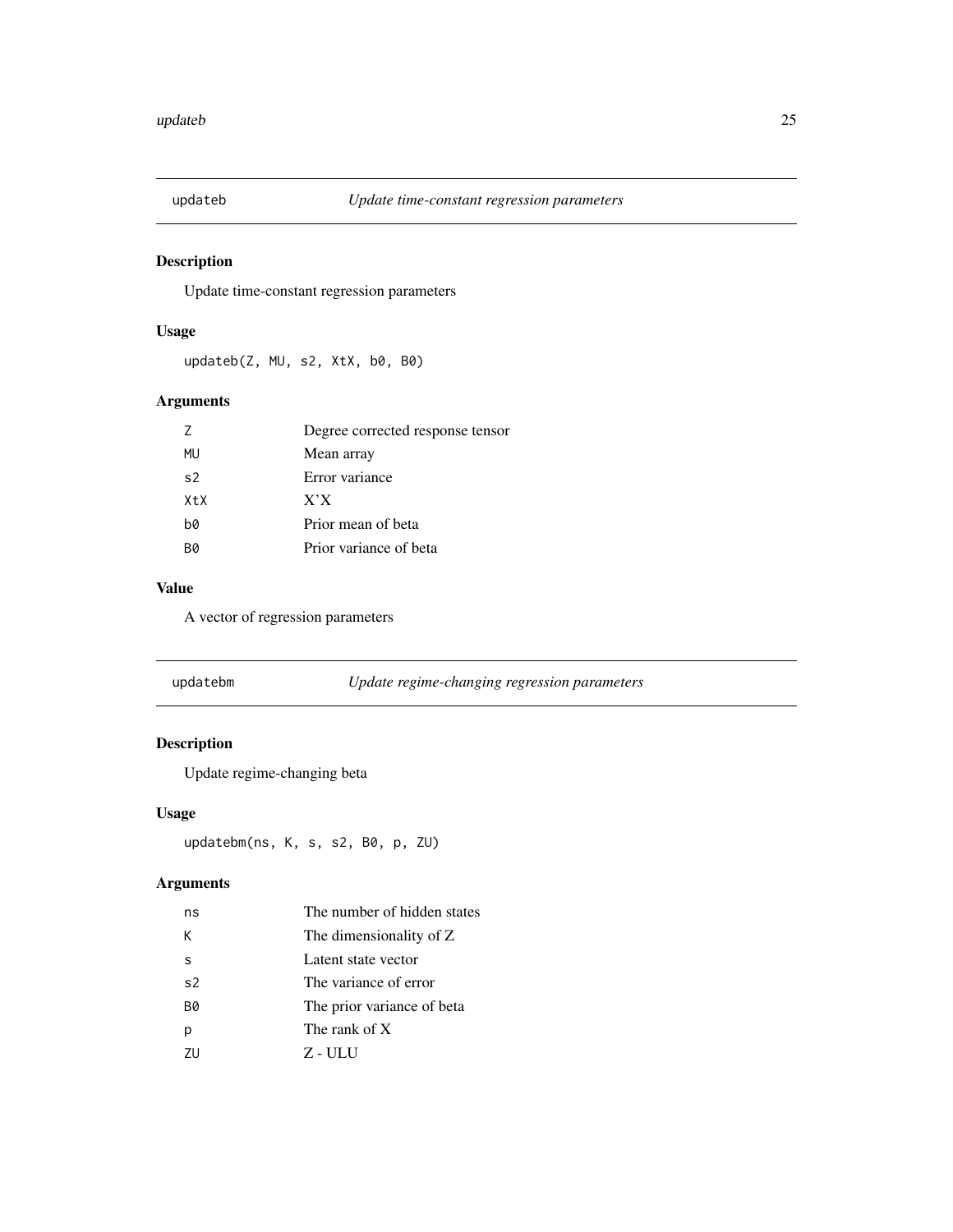<span id="page-24-0"></span>

Update time-constant regression parameters

## Usage

updateb(Z, MU, s2, XtX, b0, B0)

## Arguments

| 7                | Degree corrected response tensor |
|------------------|----------------------------------|
| MU               | Mean array                       |
| s <sub>2</sub>   | Error variance                   |
| X <sub>t</sub> x | X'X                              |
| b0               | Prior mean of beta               |
| B0               | Prior variance of beta           |

#### Value

A vector of regression parameters

| updatebm | Update regime-changing regression parameters |
|----------|----------------------------------------------|
|          |                                              |

# Description

Update regime-changing beta

## Usage

updatebm(ns, K, s, s2, B0, p, ZU)

# Arguments

| ns             | The number of hidden states |  |
|----------------|-----------------------------|--|
| K              | The dimensionality of Z     |  |
| s              | Latent state vector         |  |
| s <sub>2</sub> | The variance of error       |  |
| <b>B0</b>      | The prior variance of beta  |  |
|                | The rank of X               |  |
| 711            | Z - ULU                     |  |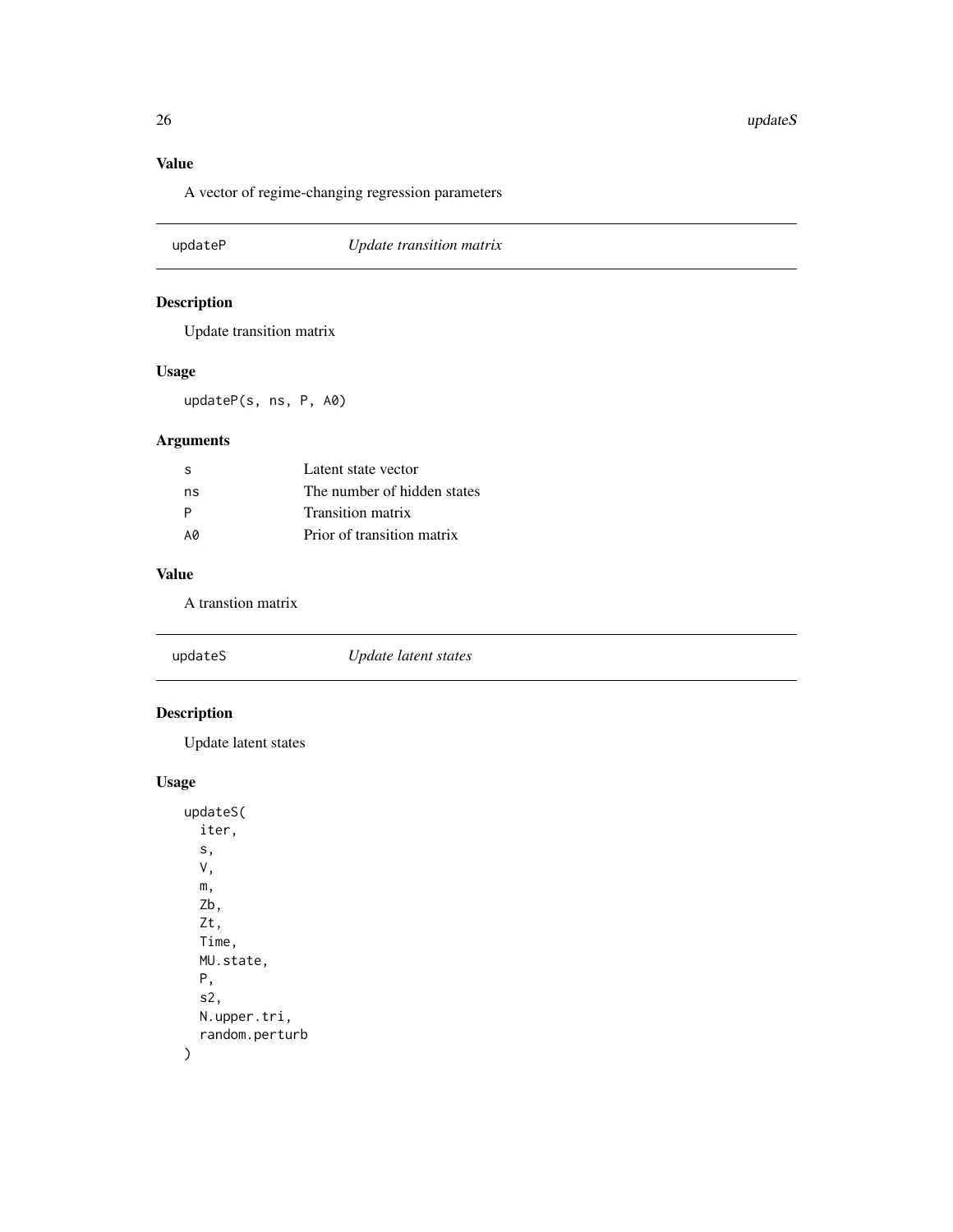<span id="page-25-0"></span>26 updateS

# Value

A vector of regime-changing regression parameters

| updateP<br>Update transition matrix |
|-------------------------------------|
|-------------------------------------|

# Description

Update transition matrix

# Usage

updateP(s, ns, P, A0)

# Arguments

| -S | Latent state vector         |
|----|-----------------------------|
| ns | The number of hidden states |
| P  | <b>Transition matrix</b>    |
| A0 | Prior of transition matrix  |

# Value

A transtion matrix

| updateS | Update latent states |  |
|---------|----------------------|--|
|---------|----------------------|--|

# Description

Update latent states

# Usage

updateS( iter, s, V, m, Zb, Zt, Time, MU.state, P, s2, N.upper.tri, random.perturb  $\mathcal{L}$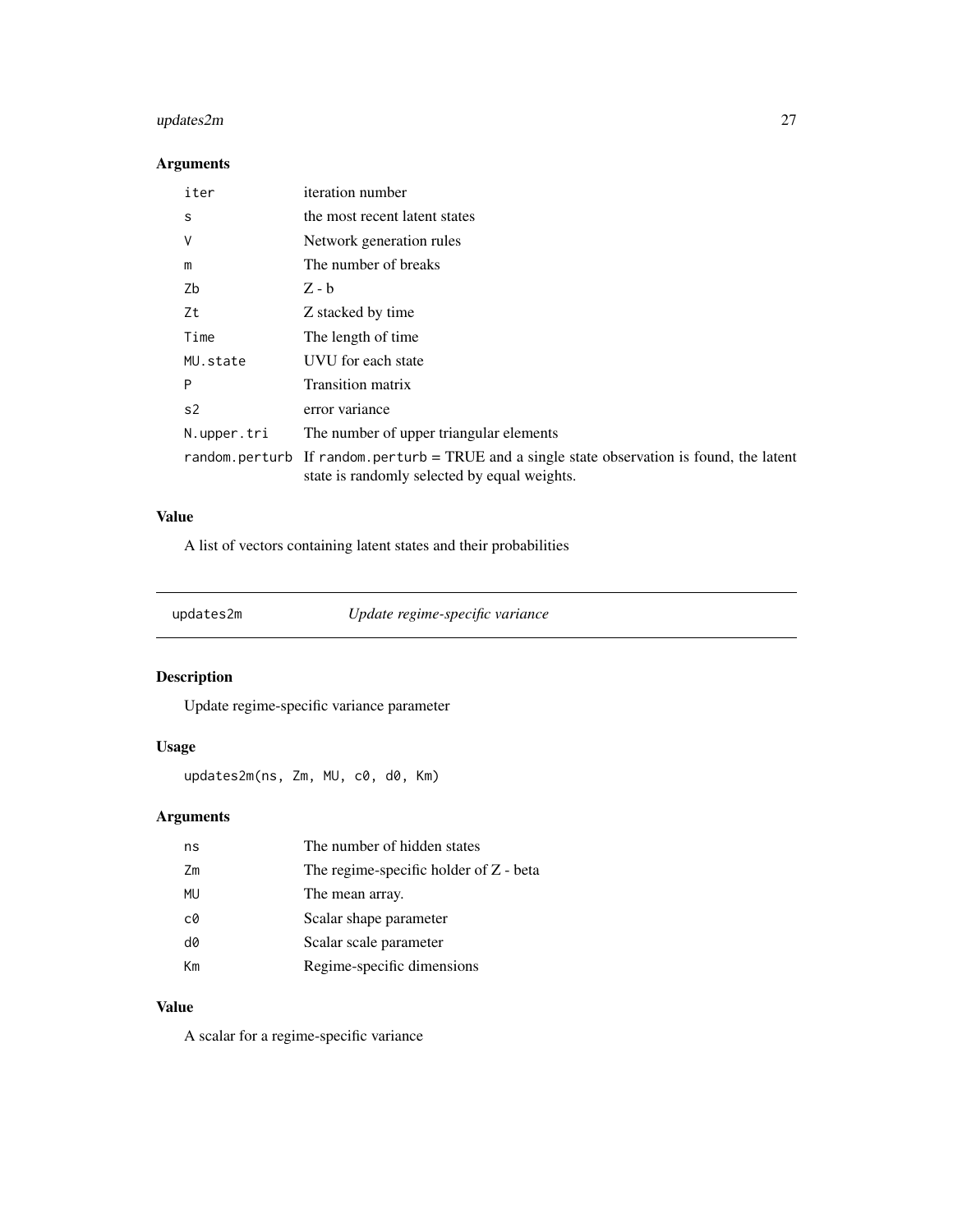# <span id="page-26-0"></span>updates2m 27

## Arguments

| iter        | <i>iteration</i> number                                                                                                                     |
|-------------|---------------------------------------------------------------------------------------------------------------------------------------------|
| S           | the most recent latent states                                                                                                               |
| ٧           | Network generation rules                                                                                                                    |
| m           | The number of breaks                                                                                                                        |
| Zb          | $Z - b$                                                                                                                                     |
| Ζt          | Z stacked by time                                                                                                                           |
| Time        | The length of time.                                                                                                                         |
| MU.state    | <b>UVU</b> for each state                                                                                                                   |
| P           | <b>Transition matrix</b>                                                                                                                    |
| s2          | error variance                                                                                                                              |
| N.upper.tri | The number of upper triangular elements                                                                                                     |
|             | random perturb If random perturb = TRUE and a single state observation is found, the latent<br>state is randomly selected by equal weights. |

## Value

A list of vectors containing latent states and their probabilities

updates2m *Update regime-specific variance*

# Description

Update regime-specific variance parameter

## Usage

updates2m(ns, Zm, MU, c0, d0, Km)

# Arguments

| ns        | The number of hidden states            |
|-----------|----------------------------------------|
| Zm        | The regime-specific holder of Z - beta |
| <b>MU</b> | The mean array.                        |
| c0        | Scalar shape parameter                 |
| d0        | Scalar scale parameter                 |
| Кm        | Regime-specific dimensions             |

## Value

A scalar for a regime-specific variance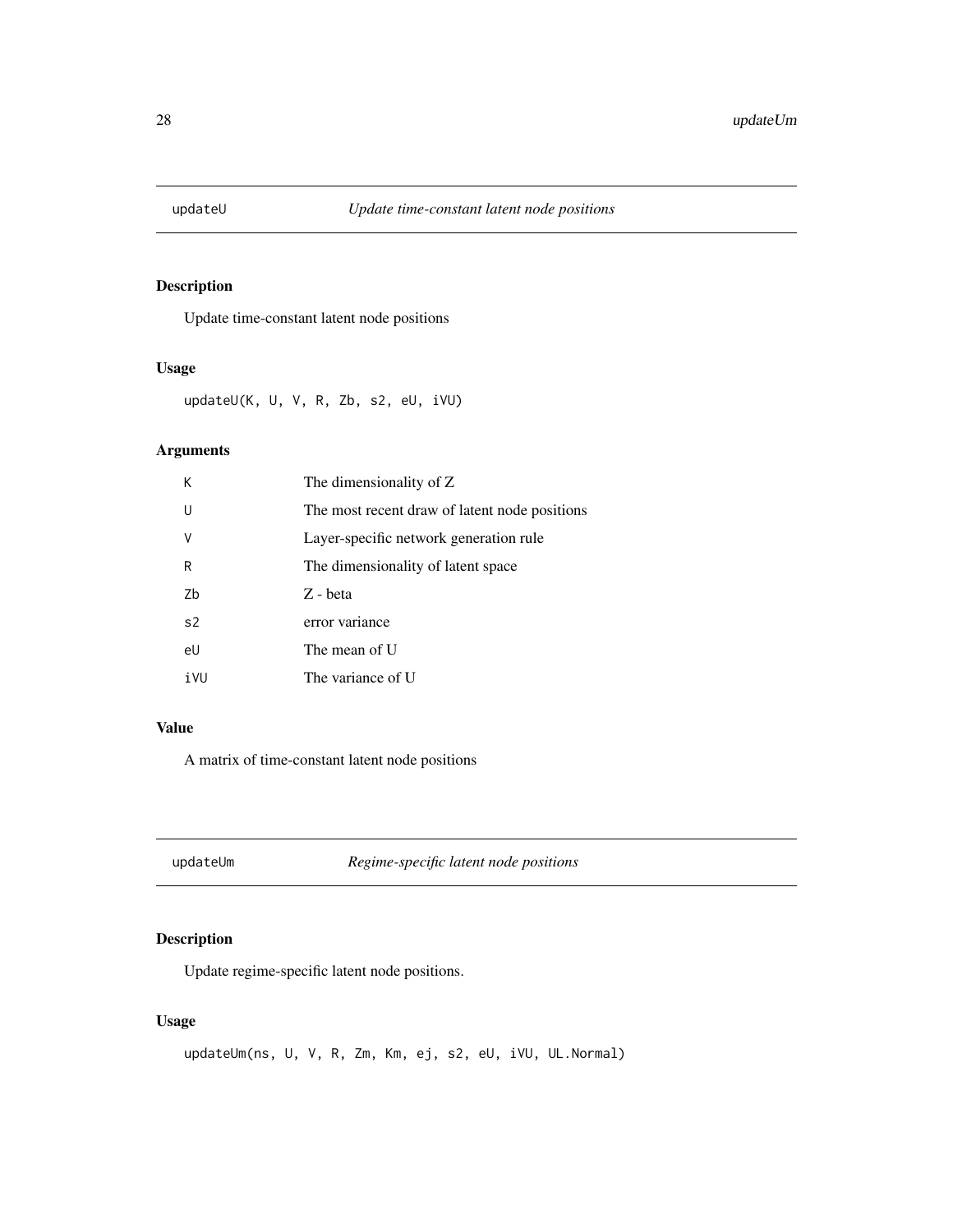<span id="page-27-0"></span>

Update time-constant latent node positions

## Usage

updateU(K, U, V, R, Zb, s2, eU, iVU)

## Arguments

| К              | The dimensionality of Z                       |
|----------------|-----------------------------------------------|
| $\mathbf{U}$   | The most recent draw of latent node positions |
| $\vee$         | Layer-specific network generation rule        |
| R              | The dimensionality of latent space            |
| 7h             | Z - beta                                      |
| s <sub>2</sub> | error variance                                |
| eU             | The mean of U                                 |
| iVU            | The variance of U                             |

# Value

A matrix of time-constant latent node positions

updateUm *Regime-specific latent node positions*

## Description

Update regime-specific latent node positions.

### Usage

```
updateUm(ns, U, V, R, Zm, Km, ej, s2, eU, iVU, UL.Normal)
```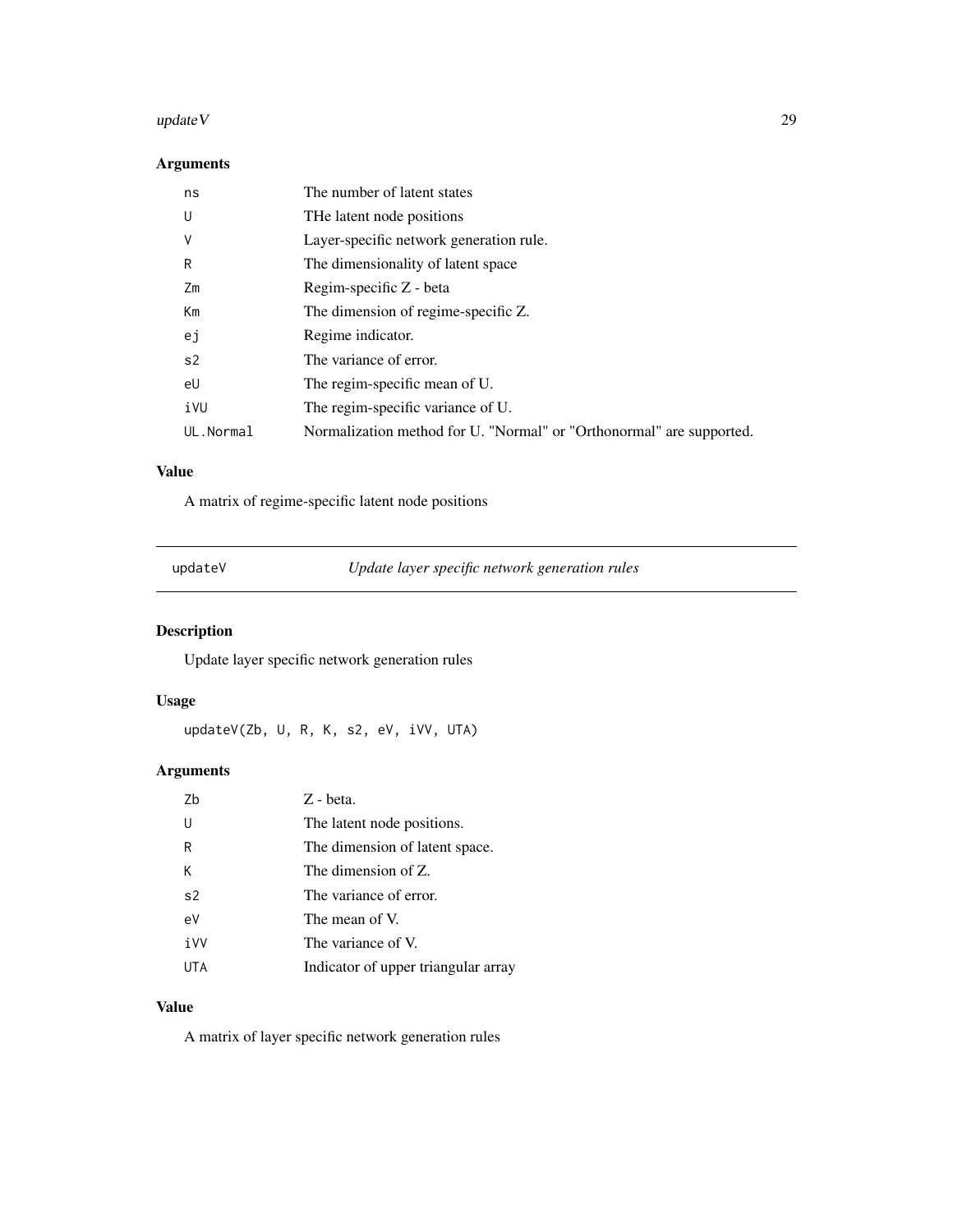#### <span id="page-28-0"></span>update V and 29

## Arguments

| ns        | The number of latent states                                          |
|-----------|----------------------------------------------------------------------|
| U         | THe latent node positions                                            |
| ٧         | Layer-specific network generation rule.                              |
| R         | The dimensionality of latent space                                   |
| Zm        | Regim-specific Z - beta                                              |
| Km        | The dimension of regime-specific Z.                                  |
| ej        | Regime indicator.                                                    |
| s2        | The variance of error.                                               |
| eU        | The regim-specific mean of U.                                        |
| iVU       | The regim-specific variance of U.                                    |
| UL.Normal | Normalization method for U. "Normal" or "Orthonormal" are supported. |

# Value

A matrix of regime-specific latent node positions

| undateV |  |
|---------|--|

updateV *Update layer specific network generation rules*

# Description

Update layer specific network generation rules

## Usage

updateV(Zb, U, R, K, s2, eV, iVV, UTA)

# Arguments

| Zb             | Z - beta.                           |
|----------------|-------------------------------------|
| U              | The latent node positions.          |
| R              | The dimension of latent space.      |
| Κ              | The dimension of Z.                 |
| s <sub>2</sub> | The variance of error.              |
| eV             | The mean of V.                      |
| iVV            | The variance of V.                  |
| UTA            | Indicator of upper triangular array |

## Value

A matrix of layer specific network generation rules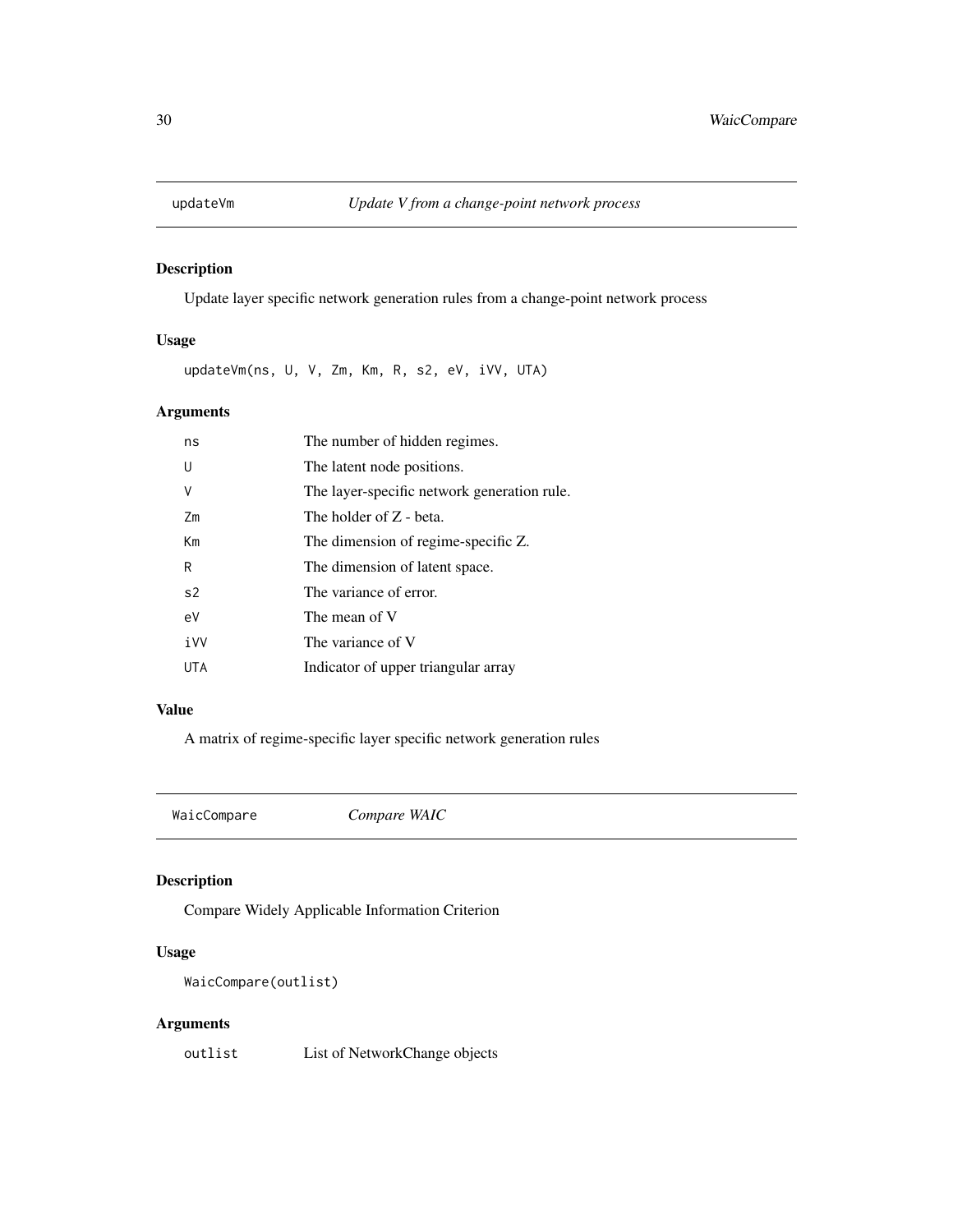<span id="page-29-0"></span>

Update layer specific network generation rules from a change-point network process

## Usage

updateVm(ns, U, V, Zm, Km, R, s2, eV, iVV, UTA)

## Arguments

| ns             | The number of hidden regimes.               |
|----------------|---------------------------------------------|
| U              | The latent node positions.                  |
| ٧              | The layer-specific network generation rule. |
| Zm             | The holder of Z - beta.                     |
| Km             | The dimension of regime-specific Z.         |
| R              | The dimension of latent space.              |
| s <sub>2</sub> | The variance of error.                      |
| eV             | The mean of V                               |
| iVV            | The variance of V                           |
| UTA            | Indicator of upper triangular array         |

#### Value

A matrix of regime-specific layer specific network generation rules

<span id="page-29-1"></span>WaicCompare *Compare WAIC*

## Description

Compare Widely Applicable Information Criterion

## Usage

WaicCompare(outlist)

## Arguments

outlist List of NetworkChange objects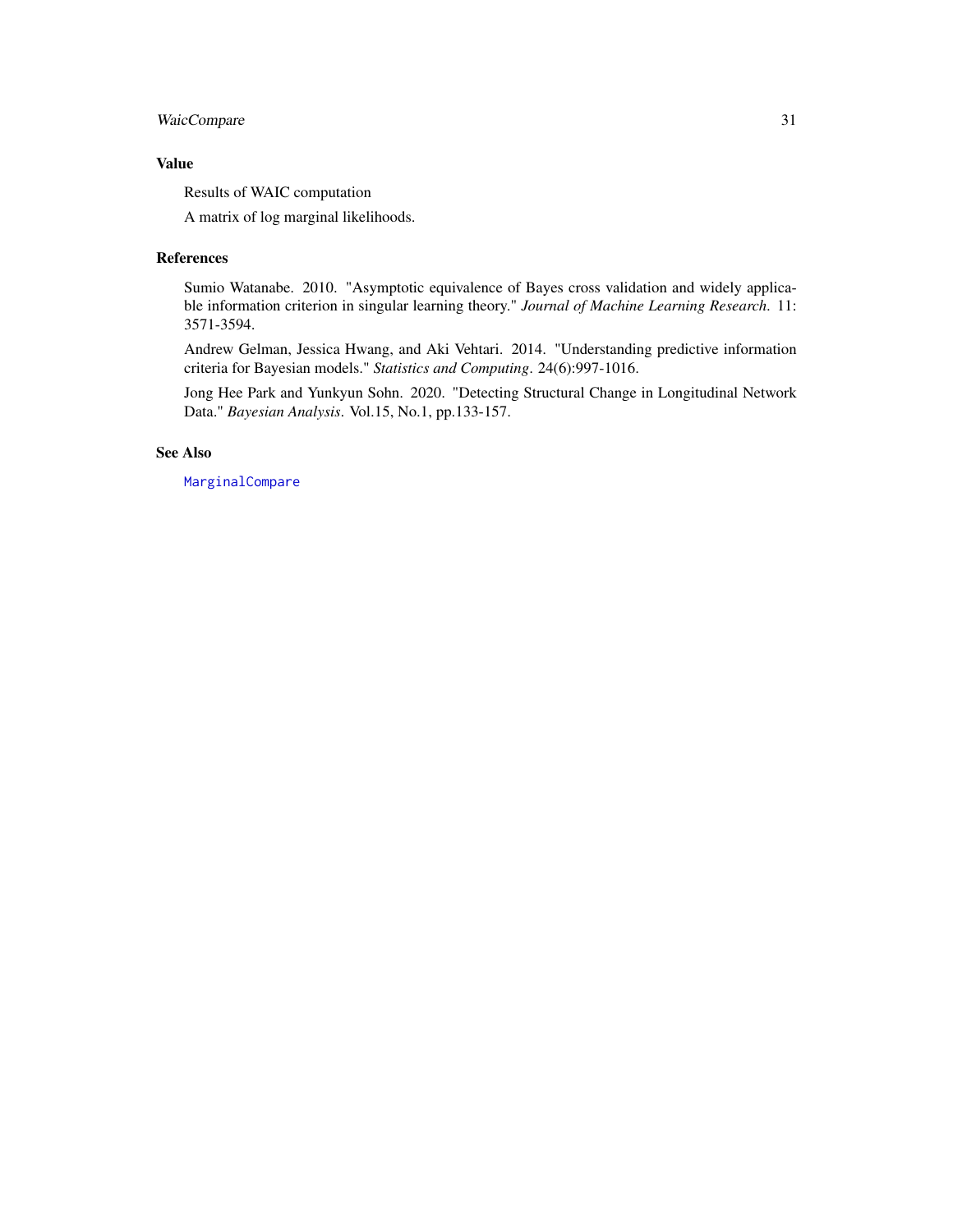## <span id="page-30-0"></span>WaicCompare 31

## Value

Results of WAIC computation

A matrix of log marginal likelihoods.

#### References

Sumio Watanabe. 2010. "Asymptotic equivalence of Bayes cross validation and widely applicable information criterion in singular learning theory." *Journal of Machine Learning Research*. 11: 3571-3594.

Andrew Gelman, Jessica Hwang, and Aki Vehtari. 2014. "Understanding predictive information criteria for Bayesian models." *Statistics and Computing*. 24(6):997-1016.

Jong Hee Park and Yunkyun Sohn. 2020. "Detecting Structural Change in Longitudinal Network Data." *Bayesian Analysis*. Vol.15, No.1, pp.133-157.

## See Also

[MarginalCompare](#page-8-1)